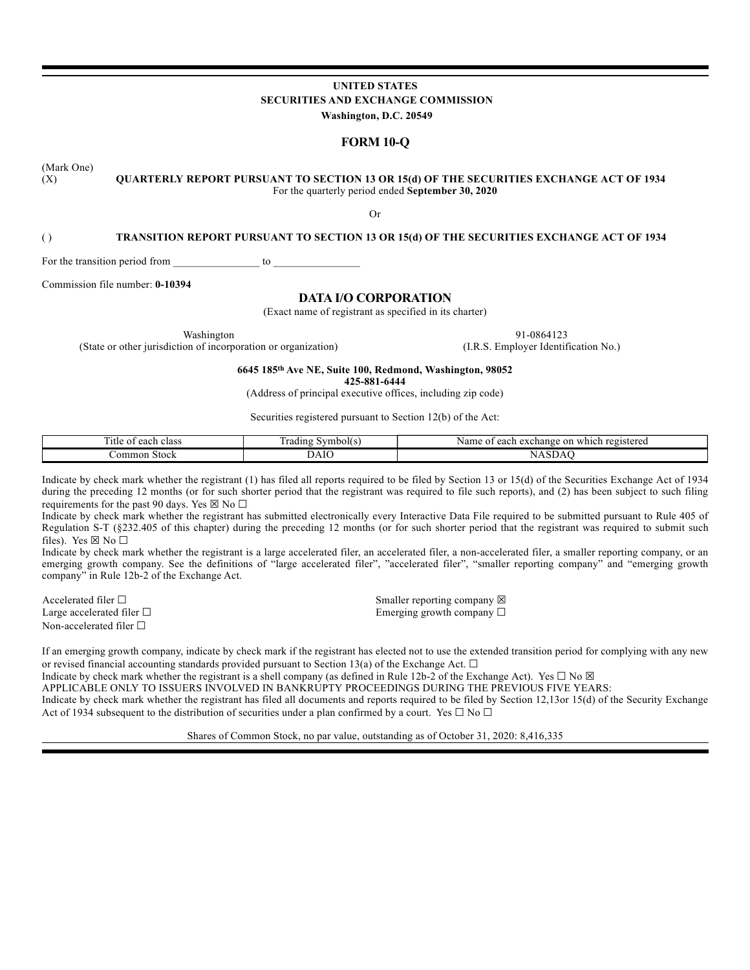## **UNITED STATES SECURITIES AND EXCHANGE COMMISSION Washington, D.C. 20549**

## **FORM 10-Q**

(Mark One) (X) **QUARTERLY REPORT PURSUANT TO SECTION 13 OR 15(d) OF THE SECURITIES EXCHANGE ACT OF 1934** For the quarterly period ended **September 30, 2020** Or ( ) **TRANSITION REPORT PURSUANT TO SECTION 13 OR 15(d) OF THE SECURITIES EXCHANGE ACT OF 1934** For the transition period from to  $\sim$ 

Commission file number: **0-10394**

## **DATA I/O CORPORATION**

(Exact name of registrant as specified in its charter)

(State or other jurisdiction of incorporation or organization) (I.R.S. Employer Identification No.)

Washington 91-0864123

**6645 185 th Ave NE, Suite 100, Redmond, Washington, 98052**

**425-881-6444**

(Address of principal executive offices, including zip code)

Securities registered pursuant to Section 12(b) of the Act:

| $-$<br>each class<br>-itie<br>. | symbol(s<br>radıng | registered<br>Name<br>each<br>exchange<br>0 <sup>n</sup><br>which<br>$\mathbf{U}$ |
|---------------------------------|--------------------|-----------------------------------------------------------------------------------|
| ∶ommon Stock                    | <b>DAI</b>         | NASDA.<br>$'$ $'$                                                                 |

Indicate by check mark whether the registrant (1) has filed all reports required to be filed by Section 13 or 15(d) of the Securities Exchange Act of 1934 during the preceding 12 months (or for such shorter period that the registrant was required to file such reports), and (2) has been subject to such filing requirements for the past 90 days. Yes  $\boxtimes$  No  $\Box$ 

Indicate by check mark whether the registrant has submitted electronically every Interactive Data File required to be submitted pursuant to Rule 405 of Regulation S-T (§232.405 of this chapter) during the preceding 12 months (or for such shorter period that the registrant was required to submit such files). Yes  $\boxtimes$  No  $\square$ 

Indicate by check mark whether the registrant is a large accelerated filer, an accelerated filer, a non-accelerated filer, a smaller reporting company, or an emerging growth company. See the definitions of "large accelerated filer", "accelerated filer", "smaller reporting company" and "emerging growth company" in Rule 12b-2 of the Exchange Act.

Non-accelerated filer □

Accelerated filer □ Smaller reporting company ⊠ Large accelerated filer □ and the set of the set of the set of the set of the set of the set of the set of the set of the set of the set of the set of the set of the set of the set of the set of the set of the set of the

If an emerging growth company, indicate by check mark if the registrant has elected not to use the extended transition period for complying with any new or revised financial accounting standards provided pursuant to Section 13(a) of the Exchange Act.  $\Box$ 

Indicate by check mark whether the registrant is a shell company (as defined in Rule 12b-2 of the Exchange Act). Yes  $\Box$  No  $\boxtimes$ 

APPLICABLE ONLY TO ISSUERS INVOLVED IN BANKRUPTY PROCEEDINGS DURING THE PREVIOUS FIVE YEARS:

Indicate by check mark whether the registrant has filed all documents and reports required to be filed by Section 12,13or 15(d) of the Security Exchange Act of 1934 subsequent to the distribution of securities under a plan confirmed by a court. Yes  $\Box$  No  $\Box$ 

Shares of Common Stock, no par value, outstanding as of October 31, 2020: 8,416,335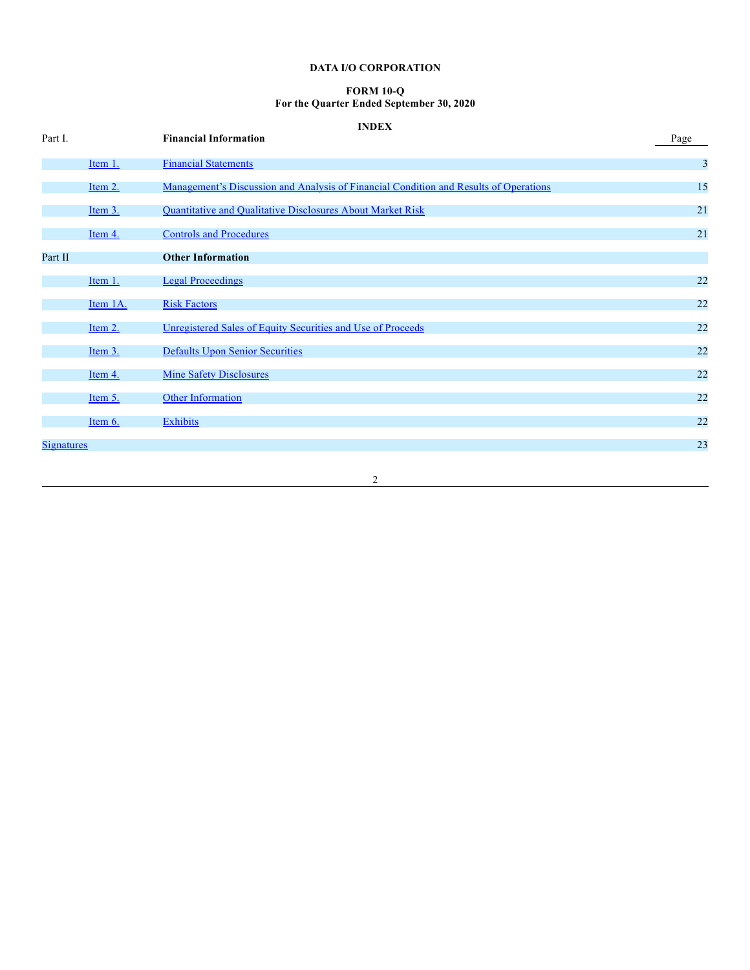# **DATA I/O CORPORATION**

#### **FORM 10-Q For the Quarter Ended September 30, 2020**

| Part I.           |           | <b>INDEX</b><br><b>Financial Information</b>                                          | Page           |
|-------------------|-----------|---------------------------------------------------------------------------------------|----------------|
|                   | Item 1.   | <b>Financial Statements</b>                                                           | $\overline{3}$ |
|                   | Item 2.   | Management's Discussion and Analysis of Financial Condition and Results of Operations | 15             |
|                   | Item 3.   | Quantitative and Qualitative Disclosures About Market Risk                            | 21             |
|                   | Item 4.   | <b>Controls and Procedures</b>                                                        | 21             |
| Part II           |           | <b>Other Information</b>                                                              |                |
|                   | Item 1.   | <b>Legal Proceedings</b>                                                              | 22             |
|                   | Item 1A.  | <b>Risk Factors</b>                                                                   | 22             |
|                   | Item 2.   | Unregistered Sales of Equity Securities and Use of Proceeds                           | 22             |
|                   | Item $3.$ | Defaults Upon Senior Securities                                                       | 22             |
|                   | Item 4.   | <b>Mine Safety Disclosures</b>                                                        | 22             |
|                   | Item $5.$ | <b>Other Information</b>                                                              | 22             |
|                   | Item 6.   | Exhibits                                                                              | 22             |
| <b>Signatures</b> |           |                                                                                       | 23             |
|                   |           | 2                                                                                     |                |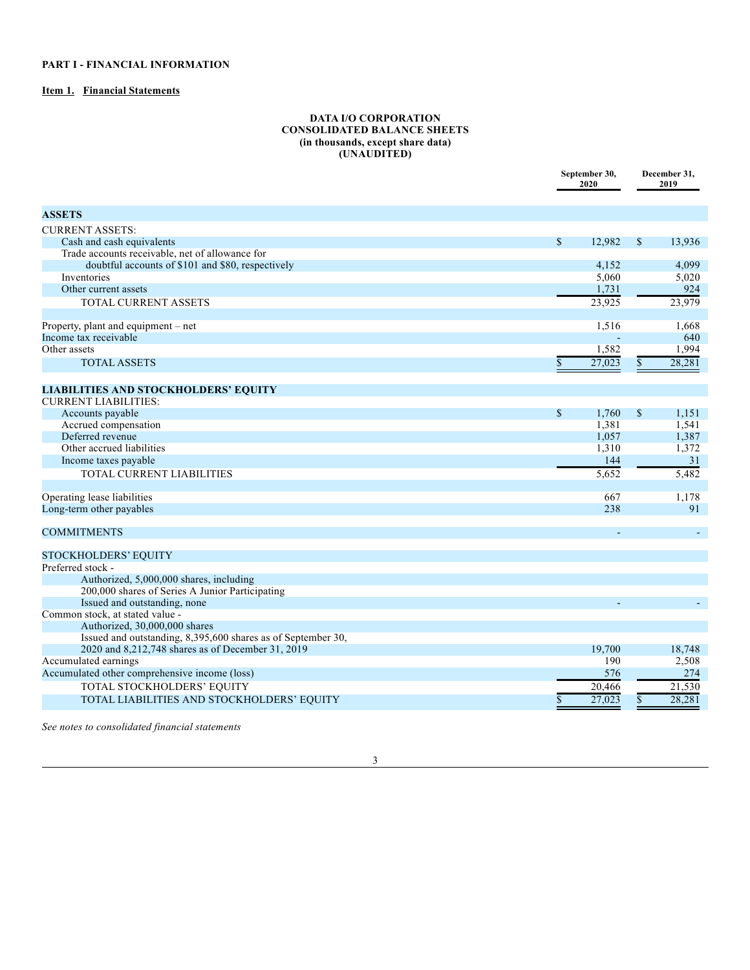## <span id="page-2-0"></span>**Item 1. Financial Statements**

#### **DATA I/O CORPORATION CONSOLIDATED BALANCE SHEETS (in thousands, except share data) (UNAUDITED)**

|                                                              |              | September 30,<br>2020 |              | December 31.<br>2019 |
|--------------------------------------------------------------|--------------|-----------------------|--------------|----------------------|
| <b>ASSETS</b>                                                |              |                       |              |                      |
| <b>CURRENT ASSETS:</b>                                       |              |                       |              |                      |
| Cash and cash equivalents                                    | $\mathbb{S}$ | 12,982                | \$           | 13,936               |
| Trade accounts receivable, net of allowance for              |              |                       |              |                      |
| doubtful accounts of \$101 and \$80, respectively            |              | 4.152                 |              | 4.099                |
| Inventories                                                  |              | 5,060                 |              | 5,020                |
| Other current assets                                         |              | 1.731                 |              | 924                  |
| <b>TOTAL CURRENT ASSETS</b>                                  |              | 23,925                |              | 23,979               |
| Property, plant and equipment – net                          |              | 1,516                 |              | 1,668                |
| Income tax receivable                                        |              |                       |              | 640                  |
| Other assets                                                 |              | 1,582                 |              | 1.994                |
| <b>TOTAL ASSETS</b>                                          | \$           | 27,023                | $\mathbf S$  | 28,281               |
| <b>LIABILITIES AND STOCKHOLDERS' EQUITY</b>                  |              |                       |              |                      |
| <b>CURRENT LIABILITIES:</b>                                  |              |                       |              |                      |
| Accounts payable                                             | $\mathbb{S}$ | 1,760                 | $\mathbb{S}$ | 1.151                |
| Accrued compensation                                         |              | 1,381                 |              | 1,541                |
| Deferred revenue                                             |              | 1.057                 |              | 1,387                |
| Other accrued liabilities                                    |              | 1,310                 |              | 1,372                |
| Income taxes payable                                         |              | 144                   |              | 31                   |
| <b>TOTAL CURRENT LIABILITIES</b>                             |              | 5,652                 |              | 5,482                |
| Operating lease liabilities                                  |              | 667                   |              | 1,178                |
| Long-term other payables                                     |              | 238                   |              | 91                   |
| <b>COMMITMENTS</b>                                           |              |                       |              |                      |
| <b>STOCKHOLDERS' EQUITY</b>                                  |              |                       |              |                      |
| Preferred stock -                                            |              |                       |              |                      |
| Authorized, 5,000,000 shares, including                      |              |                       |              |                      |
| 200,000 shares of Series A Junior Participating              |              |                       |              |                      |
| Issued and outstanding, none                                 |              |                       |              |                      |
| Common stock, at stated value -                              |              |                       |              |                      |
| Authorized, 30,000,000 shares                                |              |                       |              |                      |
| Issued and outstanding, 8,395,600 shares as of September 30, |              |                       |              |                      |
| 2020 and 8,212,748 shares as of December 31, 2019            |              | 19.700                |              | 18,748               |
| Accumulated earnings                                         |              | 190                   |              | 2,508                |
| Accumulated other comprehensive income (loss)                |              | 576                   |              | 274                  |
| TOTAL STOCKHOLDERS' EQUITY                                   |              | 20,466                |              | 21,530               |
| TOTAL LIABILITIES AND STOCKHOLDERS' EQUITY                   | \$           | 27,023                | \$           | 28,281               |

*See notes to consolidated financial statements*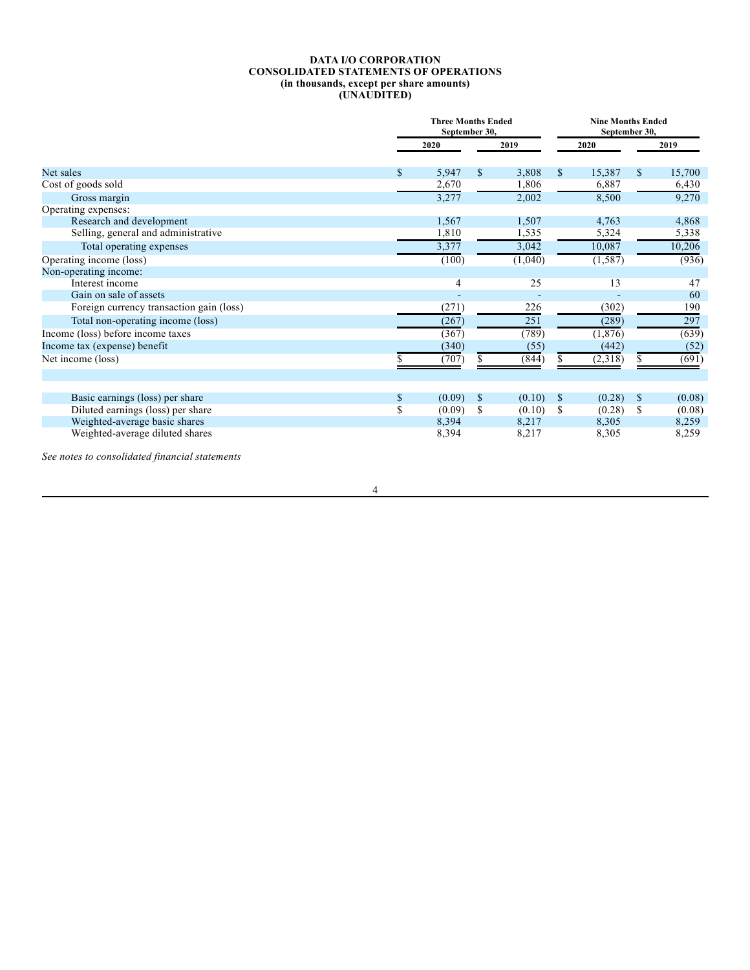#### **DATA I/O CORPORATION CONSOLIDATED STATEMENTS OF OPERATIONS (in thousands, except per share amounts) (UNAUDITED)**

|                                          |              | <b>Three Months Ended</b><br>September 30, |                           |         | <b>Nine Months Ended</b><br>September 30, |          |               |                  |
|------------------------------------------|--------------|--------------------------------------------|---------------------------|---------|-------------------------------------------|----------|---------------|------------------|
|                                          |              | 2020                                       |                           | 2019    |                                           | 2020     |               | 2019             |
| Net sales                                | $\mathbb{S}$ | 5,947                                      | $\mathbb{S}$              | 3,808   | \$                                        | 15,387   | $\mathbb{S}$  | 15,700           |
| Cost of goods sold                       |              | 2,670                                      |                           | 1,806   |                                           | 6,887    |               | 6,430            |
| Gross margin                             |              | 3,277                                      |                           | 2,002   |                                           | 8,500    |               | 9,270            |
| Operating expenses:                      |              |                                            |                           |         |                                           |          |               |                  |
| Research and development                 |              | 1,567                                      |                           | 1,507   |                                           | 4,763    |               | 4,868            |
| Selling, general and administrative      |              | 1,810                                      |                           | 1,535   |                                           | 5,324    |               | 5,338            |
| Total operating expenses                 |              | 3,377                                      |                           | 3,042   |                                           | 10,087   |               | 10,206           |
| Operating income (loss)                  |              | (100)                                      |                           | (1,040) |                                           | (1, 587) |               | (936)            |
| Non-operating income:                    |              |                                            |                           |         |                                           |          |               |                  |
| Interest income                          |              | 4                                          |                           | 25      |                                           | 13       |               | 47               |
| Gain on sale of assets                   |              |                                            |                           |         |                                           |          |               | 60               |
| Foreign currency transaction gain (loss) |              | (271)                                      |                           | 226     |                                           | (302)    |               | 190              |
| Total non-operating income (loss)        |              | (267)                                      |                           | 251     |                                           | (289)    |               | $\overline{297}$ |
| Income (loss) before income taxes        |              | (367)                                      |                           | (789)   |                                           | (1, 876) |               | (639)            |
| Income tax (expense) benefit             |              | (340)                                      |                           | (55)    |                                           | (442)    |               | (52)             |
| Net income (loss)                        |              | (707)                                      |                           | (844)   |                                           | (2,318)  |               | (691)            |
|                                          |              |                                            |                           |         |                                           |          |               |                  |
| Basic earnings (loss) per share          | \$           | (0.09)                                     | $\boldsymbol{\mathsf{S}}$ | (0.10)  | \$                                        | (0.28)   | $\mathbb{S}$  | (0.08)           |
| Diluted earnings (loss) per share        | \$           | (0.09)                                     | <sup>\$</sup>             | (0.10)  | \$                                        | (0.28)   | <sup>\$</sup> | (0.08)           |
| Weighted-average basic shares            |              | 8,394                                      |                           | 8,217   |                                           | 8,305    |               | 8,259            |
| Weighted-average diluted shares          |              | 8,394                                      |                           | 8,217   |                                           | 8,305    |               | 8,259            |

*See notes to consolidated financial statements*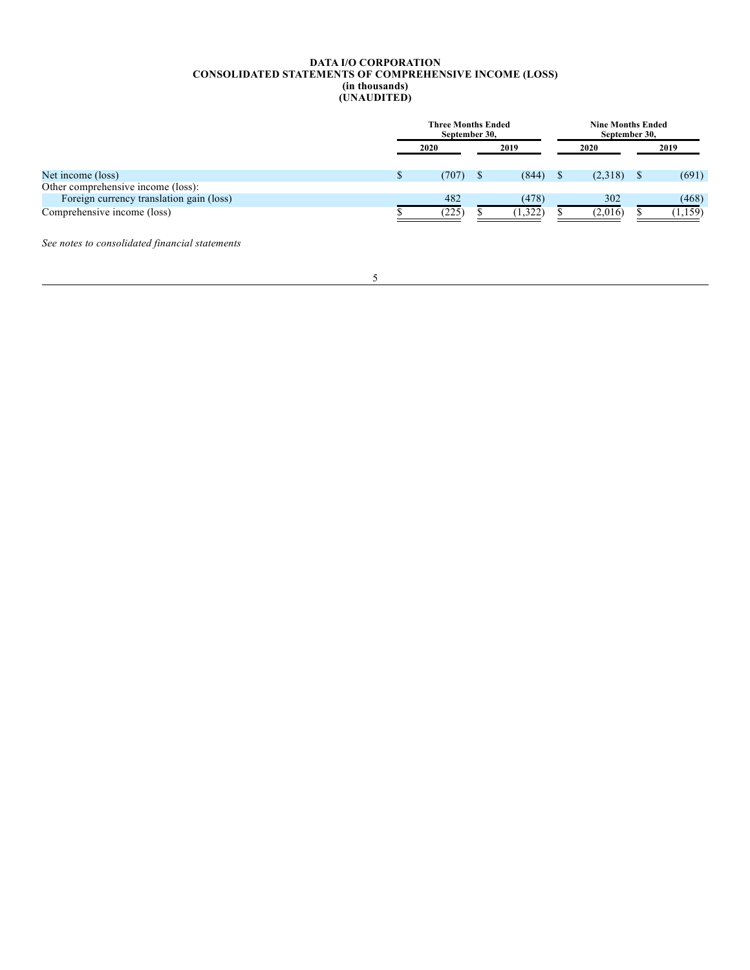#### **DATA I/O CORPORATION CONSOLIDATED STATEMENTS OF COMPREHENSIVE INCOME (LOSS) (in thousands) (UNAUDITED)**

|                                                | <b>Three Months Ended</b><br>September 30, |       |  |         |  | <b>Nine Months Ended</b><br>September 30, |  |         |  |
|------------------------------------------------|--------------------------------------------|-------|--|---------|--|-------------------------------------------|--|---------|--|
|                                                |                                            | 2020  |  | 2019    |  | 2020                                      |  | 2019    |  |
| Net income (loss)                              | \$                                         | (707) |  | (844)   |  | (2,318)                                   |  | (691)   |  |
| Other comprehensive income (loss):             |                                            |       |  |         |  |                                           |  |         |  |
| Foreign currency translation gain (loss)       |                                            | 482   |  | (478)   |  | 302                                       |  | (468)   |  |
| Comprehensive income (loss)                    |                                            | (225) |  | (1,322) |  | (2,016)                                   |  | (1,159) |  |
| See notes to consolidated financial statements |                                            |       |  |         |  |                                           |  |         |  |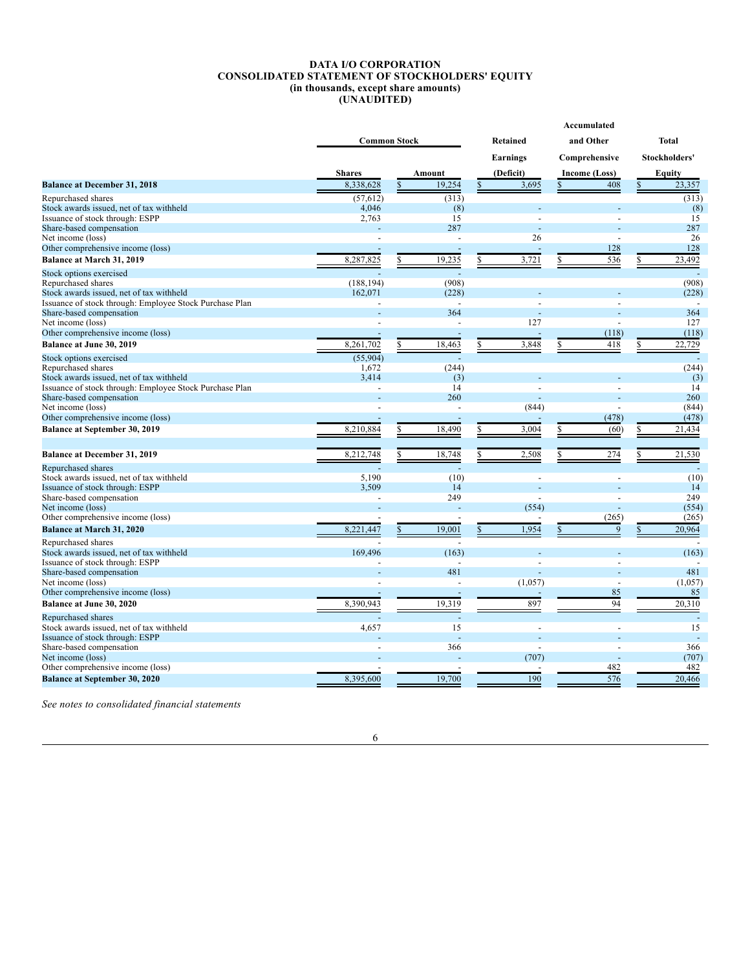#### **DATA I/O CORPORATION CONSOLIDATED STATEMENT OF STOCKHOLDERS' EQUITY (in thousands, except share amounts) (UNAUDITED)**

|                                                                                     | <b>Common Stock</b> |                |    | <b>Retained</b> |   | Accumulated<br>and Other | <b>Total</b>   |
|-------------------------------------------------------------------------------------|---------------------|----------------|----|-----------------|---|--------------------------|----------------|
|                                                                                     |                     |                |    | Earnings        |   | Comprehensive            | Stockholders'  |
|                                                                                     | <b>Shares</b>       | Amount         |    | (Deficit)       |   | Income (Loss)            | Equity         |
| <b>Balance at December 31, 2018</b>                                                 | 8,338,628           | 19,254         | \$ | 3,695           |   | 408                      | 23,357         |
| Repurchased shares                                                                  | (57, 612)           | (313)          |    |                 |   |                          | (313)          |
| Stock awards issued, net of tax withheld                                            | 4,046               | (8)            |    |                 |   |                          | (8)            |
| Issuance of stock through: ESPP                                                     | 2,763               | 15             |    |                 |   |                          | 15             |
| Share-based compensation                                                            |                     | 287            |    |                 |   |                          | 287            |
| Net income (loss)                                                                   |                     |                |    | 26              |   |                          | 26             |
| Other comprehensive income (loss)                                                   |                     |                |    |                 |   | 128                      | 128            |
| Balance at March 31, 2019                                                           | 8,287,825           | 19,235         |    | 3,721           | S | 536                      | 23,492         |
| Stock options exercised                                                             |                     |                |    |                 |   |                          |                |
| Repurchased shares                                                                  | (188, 194)          | (908)          |    |                 |   |                          | (908)          |
| Stock awards issued, net of tax withheld                                            | 162,071             | (228)          |    |                 |   |                          | (228)          |
| Issuance of stock through: Employee Stock Purchase Plan                             |                     |                |    |                 |   |                          |                |
| Share-based compensation                                                            |                     | 364            |    |                 |   |                          | 364            |
| Net income (loss)                                                                   |                     |                |    | 127             |   |                          | 127            |
| Other comprehensive income (loss)                                                   |                     |                |    |                 |   | (118)                    | (118)          |
| Balance at June 30, 2019                                                            | 8,261,702           | \$<br>18,463   |    | 3,848           |   | 418                      | 22,729         |
|                                                                                     | (55, 904)           |                |    |                 |   |                          |                |
| Stock options exercised                                                             |                     |                |    |                 |   |                          |                |
| Repurchased shares<br>Stock awards issued, net of tax withheld                      | 1,672               | (244)          |    |                 |   | $\overline{a}$           | (244)          |
|                                                                                     | 3,414               | (3)<br>14      |    | $\overline{a}$  |   | $\overline{a}$           | (3)<br>14      |
| Issuance of stock through: Employee Stock Purchase Plan<br>Share-based compensation |                     | 260            |    |                 |   |                          | 260            |
| Net income (loss)                                                                   |                     | Ĭ.             |    |                 |   |                          |                |
| Other comprehensive income (loss)                                                   |                     |                |    | (844)           |   | (478)                    | (844)<br>(478) |
|                                                                                     |                     |                |    |                 |   |                          |                |
| <b>Balance at September 30, 2019</b>                                                | 8,210,884           | 18,490         |    | 3,004           |   | (60)                     | 21,434         |
| <b>Balance at December 31, 2019</b>                                                 | 8,212,748           | 18,748         | S  | 2,508           |   | 274                      | 21,530         |
| Repurchased shares                                                                  |                     |                |    |                 |   |                          |                |
| Stock awards issued, net of tax withheld                                            | 5,190               | (10)           |    |                 |   |                          | (10)           |
| Issuance of stock through: ESPP                                                     | 3,509               | 14             |    |                 |   |                          | 14             |
| Share-based compensation                                                            |                     | 249            |    |                 |   |                          | 249            |
| Net income (loss)                                                                   |                     |                |    | (554)           |   |                          | (554)          |
| Other comprehensive income (loss)                                                   |                     | $\overline{a}$ |    |                 |   | (265)                    | (265)          |
| Balance at March 31, 2020                                                           | 8,221,447           | 19,001         |    | 1,954           |   | 9                        | 20,964         |
| Repurchased shares                                                                  |                     |                |    |                 |   |                          |                |
| Stock awards issued, net of tax withheld                                            | 169,496             | (163)          |    |                 |   |                          | (163)          |
| Issuance of stock through: ESPP                                                     |                     |                |    |                 |   |                          |                |
| Share-based compensation                                                            |                     | 481            |    |                 |   |                          | 481            |
| Net income (loss)                                                                   |                     |                |    | (1,057)         |   |                          | (1,057)        |
| Other comprehensive income (loss)                                                   |                     |                |    |                 |   | 85                       | 85             |
| Balance at June 30, 2020                                                            | 8,390,943           | 19,319         |    | 897             |   | 94                       | 20,310         |
| Repurchased shares                                                                  |                     |                |    |                 |   |                          |                |
| Stock awards issued, net of tax withheld                                            | 4,657               | 15             |    |                 |   |                          | 15             |
| Issuance of stock through: ESPP                                                     |                     |                |    |                 |   |                          |                |
| Share-based compensation                                                            |                     | 366            |    |                 |   |                          | 366            |
| Net income (loss)                                                                   |                     |                |    | (707)           |   |                          | (707)          |
| Other comprehensive income (loss)                                                   |                     |                |    |                 |   | 482                      | 482            |
|                                                                                     |                     | 19,700         |    | 190             |   | 576                      | 20.466         |
| <b>Balance at September 30, 2020</b>                                                | 8,395,600           |                |    |                 |   |                          |                |

*See notes to consolidated financial statements*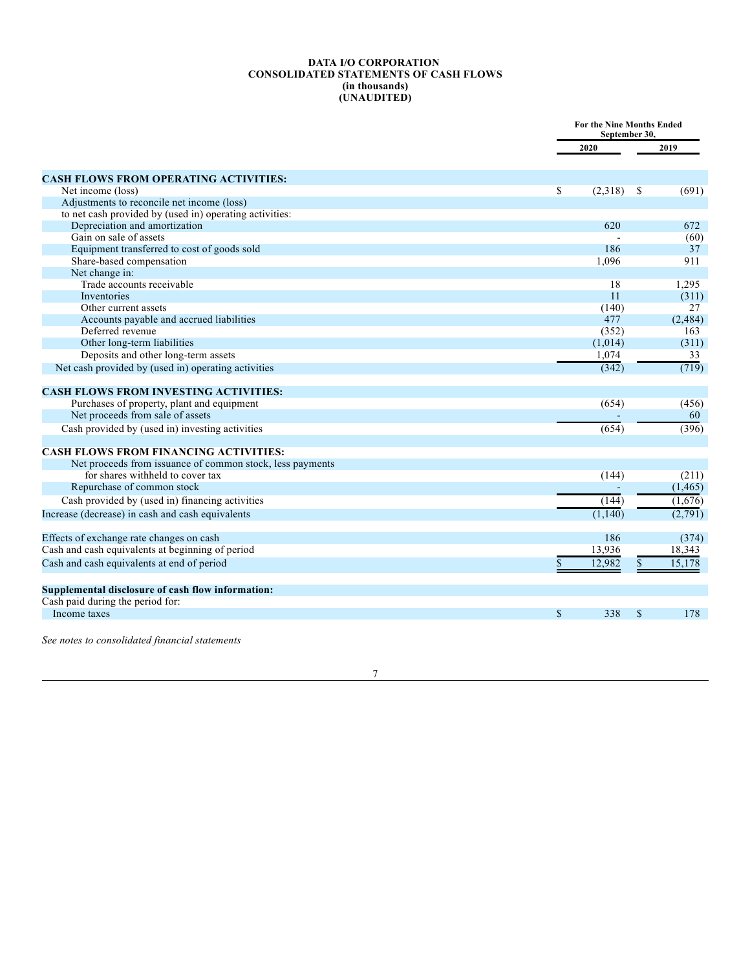#### **DATA I/O CORPORATION CONSOLIDATED STATEMENTS OF CASH FLOWS (in thousands) (UNAUDITED)**

|                                                           |                     | For the Nine Months Ended<br>September 30, |
|-----------------------------------------------------------|---------------------|--------------------------------------------|
|                                                           | 2020                | 2019                                       |
| <b>CASH FLOWS FROM OPERATING ACTIVITIES:</b>              |                     |                                            |
| Net income (loss)                                         | \$<br>(2,318)       | -S<br>(691)                                |
| Adjustments to reconcile net income (loss)                |                     |                                            |
| to net cash provided by (used in) operating activities:   |                     |                                            |
| Depreciation and amortization                             | 620                 | 672                                        |
| Gain on sale of assets                                    |                     | (60)                                       |
| Equipment transferred to cost of goods sold               | 186                 | 37                                         |
| Share-based compensation                                  | 1.096               | 911                                        |
| Net change in:                                            |                     |                                            |
| Trade accounts receivable                                 | 18                  | 1,295                                      |
| Inventories                                               | 11                  | (311)                                      |
| Other current assets                                      | (140)               | 27                                         |
| Accounts payable and accrued liabilities                  | 477                 | (2,484)                                    |
| Deferred revenue                                          | (352)               | 163                                        |
| Other long-term liabilities                               | (1,014)             | (311)                                      |
| Deposits and other long-term assets                       | 1,074               | 33                                         |
| Net cash provided by (used in) operating activities       | (342)               | (719)                                      |
| <b>CASH FLOWS FROM INVESTING ACTIVITIES:</b>              |                     |                                            |
| Purchases of property, plant and equipment                | (654)               | (456)                                      |
| Net proceeds from sale of assets                          |                     | 60                                         |
| Cash provided by (used in) investing activities           | (654)               | (396)                                      |
| <b>CASH FLOWS FROM FINANCING ACTIVITIES:</b>              |                     |                                            |
| Net proceeds from issuance of common stock, less payments |                     |                                            |
| for shares withheld to cover tax                          | (144)               | (211)                                      |
| Repurchase of common stock                                |                     | (1, 465)                                   |
| Cash provided by (used in) financing activities           | (144)               | (1,676)                                    |
| Increase (decrease) in cash and cash equivalents          | (1,140)             | (2,791)                                    |
| Effects of exchange rate changes on cash                  | 186                 | (374)                                      |
| Cash and cash equivalents at beginning of period          | 13,936              | 18,343                                     |
| Cash and cash equivalents at end of period                | 12,982<br>\$        | 15,178<br>\$                               |
| Supplemental disclosure of cash flow information:         |                     |                                            |
| Cash paid during the period for:                          |                     |                                            |
| Income taxes                                              | $\mathbb{S}$<br>338 | \$<br>178                                  |
|                                                           |                     |                                            |

*See notes to consolidated financial statements*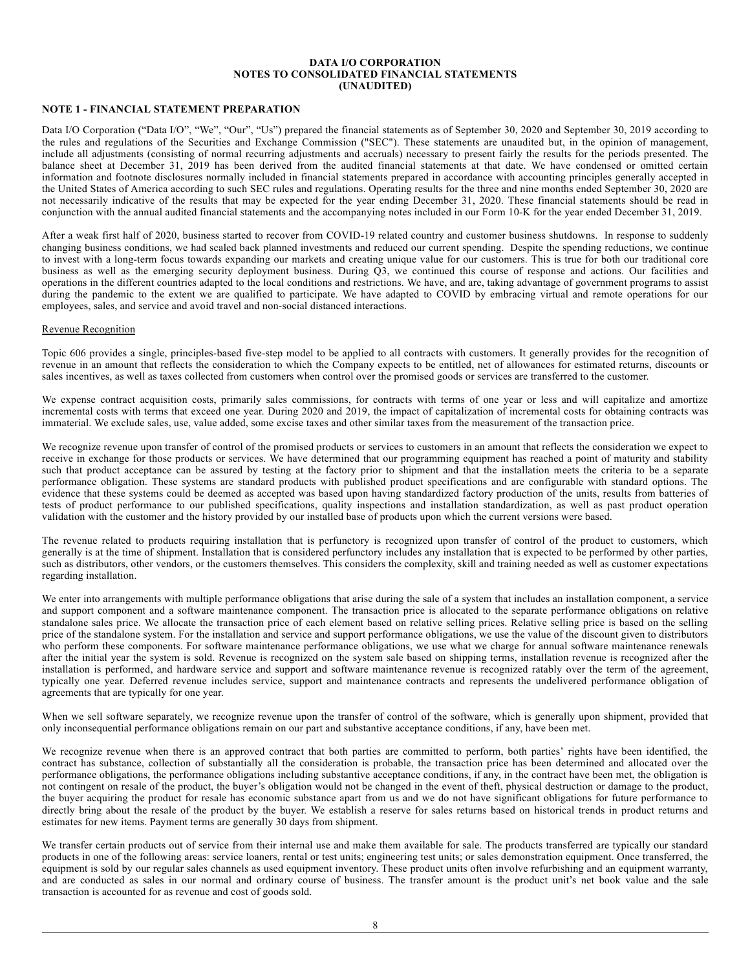#### **DATA I/O CORPORATION NOTES TO CONSOLIDATED FINANCIAL STATEMENTS (UNAUDITED)**

#### **NOTE 1 - FINANCIAL STATEMENT PREPARATION**

Data I/O Corporation ("Data I/O", "We", "Our", "Us") prepared the financial statements as of September 30, 2020 and September 30, 2019 according to the rules and regulations of the Securities and Exchange Commission ("SEC"). These statements are unaudited but, in the opinion of management, include all adjustments (consisting of normal recurring adjustments and accruals) necessary to present fairly the results for the periods presented. The balance sheet at December 31, 2019 has been derived from the audited financial statements at that date. We have condensed or omitted certain information and footnote disclosures normally included in financial statements prepared in accordance with accounting principles generally accepted in the United States of America according to such SEC rules and regulations. Operating results for the three and nine months ended September 30, 2020 are not necessarily indicative of the results that may be expected for the year ending December 31, 2020. These financial statements should be read in conjunction with the annual audited financial statements and the accompanying notes included in our Form 10-K for the year ended December 31, 2019.

After a weak first half of 2020, business started to recover from COVID-19 related country and customer business shutdowns. In response to suddenly changing business conditions, we had scaled back planned investments and reduced our current spending. Despite the spending reductions, we continue to invest with a long-term focus towards expanding our markets and creating unique value for our customers. This is true for both our traditional core business as well as the emerging security deployment business. During Q3, we continued this course of response and actions. Our facilities and operations in the different countries adapted to the local conditions and restrictions. We have, and are, taking advantage of government programs to assist during the pandemic to the extent we are qualified to participate. We have adapted to COVID by embracing virtual and remote operations for our employees, sales, and service and avoid travel and non-social distanced interactions.

#### Revenue Recognition

Topic 606 provides a single, principles-based five-step model to be applied to all contracts with customers. It generally provides for the recognition of revenue in an amount that reflects the consideration to which the Company expects to be entitled, net of allowances for estimated returns, discounts or sales incentives, as well as taxes collected from customers when control over the promised goods or services are transferred to the customer.

We expense contract acquisition costs, primarily sales commissions, for contracts with terms of one year or less and will capitalize and amortize incremental costs with terms that exceed one year. During 2020 and 2019, the impact of capitalization of incremental costs for obtaining contracts was immaterial. We exclude sales, use, value added, some excise taxes and other similar taxes from the measurement of the transaction price.

We recognize revenue upon transfer of control of the promised products or services to customers in an amount that reflects the consideration we expect to receive in exchange for those products or services. We have determined that our programming equipment has reached a point of maturity and stability such that product acceptance can be assured by testing at the factory prior to shipment and that the installation meets the criteria to be a separate performance obligation. These systems are standard products with published product specifications and are configurable with standard options. The evidence that these systems could be deemed as accepted was based upon having standardized factory production of the units, results from batteries of tests of product performance to our published specifications, quality inspections and installation standardization, as well as past product operation validation with the customer and the history provided by our installed base of products upon which the current versions were based.

The revenue related to products requiring installation that is perfunctory is recognized upon transfer of control of the product to customers, which generally is at the time of shipment. Installation that is considered perfunctory includes any installation that is expected to be performed by other parties, such as distributors, other vendors, or the customers themselves. This considers the complexity, skill and training needed as well as customer expectations regarding installation.

We enter into arrangements with multiple performance obligations that arise during the sale of a system that includes an installation component, a service and support component and a software maintenance component. The transaction price is allocated to the separate performance obligations on relative standalone sales price. We allocate the transaction price of each element based on relative selling prices. Relative selling price is based on the selling price of the standalone system. For the installation and service and support performance obligations, we use the value of the discount given to distributors who perform these components. For software maintenance performance obligations, we use what we charge for annual software maintenance renewals after the initial year the system is sold. Revenue is recognized on the system sale based on shipping terms, installation revenue is recognized after the installation is performed, and hardware service and support and software maintenance revenue is recognized ratably over the term of the agreement, typically one year. Deferred revenue includes service, support and maintenance contracts and represents the undelivered performance obligation of agreements that are typically for one year.

When we sell software separately, we recognize revenue upon the transfer of control of the software, which is generally upon shipment, provided that only inconsequential performance obligations remain on our part and substantive acceptance conditions, if any, have been met.

We recognize revenue when there is an approved contract that both parties are committed to perform, both parties' rights have been identified, the contract has substance, collection of substantially all the consideration is probable, the transaction price has been determined and allocated over the performance obligations, the performance obligations including substantive acceptance conditions, if any, in the contract have been met, the obligation is not contingent on resale of the product, the buyer's obligation would not be changed in the event of theft, physical destruction or damage to the product, the buyer acquiring the product for resale has economic substance apart from us and we do not have significant obligations for future performance to directly bring about the resale of the product by the buyer. We establish a reserve for sales returns based on historical trends in product returns and estimates for new items. Payment terms are generally 30 days from shipment.

We transfer certain products out of service from their internal use and make them available for sale. The products transferred are typically our standard products in one of the following areas: service loaners, rental or test units; engineering test units; or sales demonstration equipment. Once transferred, the equipment is sold by our regular sales channels as used equipment inventory. These product units often involve refurbishing and an equipment warranty, and are conducted as sales in our normal and ordinary course of business. The transfer amount is the product unit's net book value and the sale transaction is accounted for as revenue and cost of goods sold.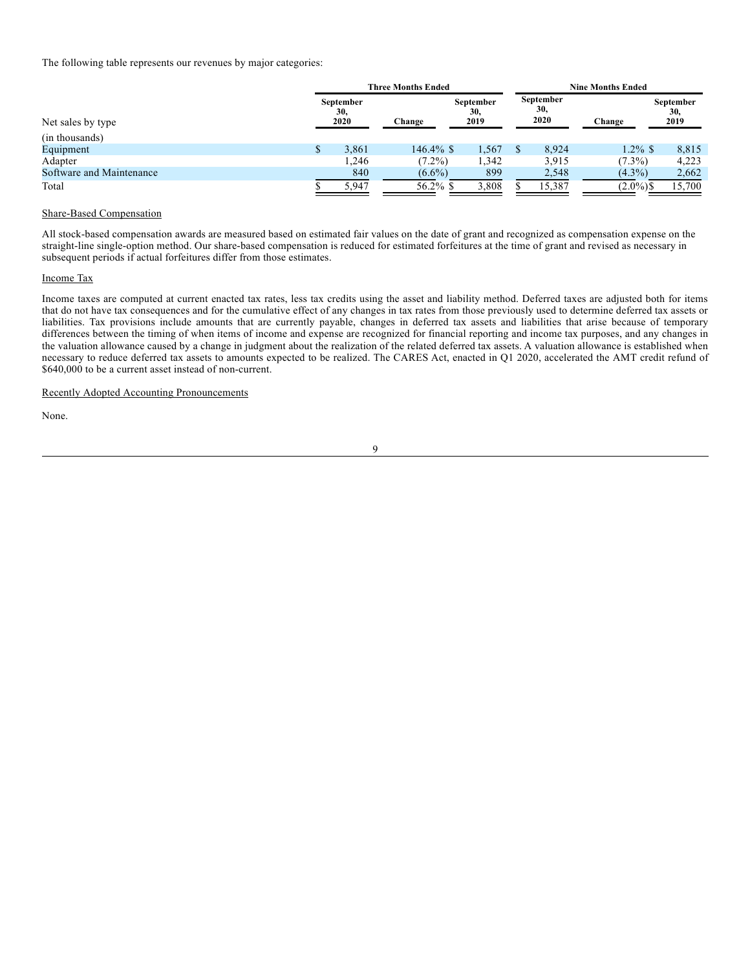The following table represents our revenues by major categories:

|                          |                          | <b>Three Months Ended</b> | <b>Nine Months Ended</b> |  |                          |            |                          |  |
|--------------------------|--------------------------|---------------------------|--------------------------|--|--------------------------|------------|--------------------------|--|
| Net sales by type        | September<br>30,<br>2020 | Change                    | September<br>30,<br>2019 |  | September<br>30,<br>2020 | Change     | September<br>30,<br>2019 |  |
| (in thousands)           |                          |                           |                          |  |                          |            |                          |  |
| Equipment                | 3,861                    | $146.4\%$ \$              | .567                     |  | 8.924                    | $1.2\%$ \$ | 8,815                    |  |
| Adapter                  | .246                     | $(7.2\%)$                 | 342                      |  | 3.915                    | $(7.3\%)$  | 4,223                    |  |
| Software and Maintenance | 840                      | $(6.6\%)$                 | 899                      |  | 2,548                    | $(4.3\%)$  | 2,662                    |  |
| Total                    | 5,947                    | $56.2\%$ \$               | 3,808                    |  | 15,387                   | $(2.0\%)\$ | 15,700                   |  |

#### Share-Based Compensation

All stock-based compensation awards are measured based on estimated fair values on the date of grant and recognized as compensation expense on the straight-line single-option method. Our share-based compensation is reduced for estimated forfeitures at the time of grant and revised as necessary in subsequent periods if actual forfeitures differ from those estimates.

#### Income Tax

Income taxes are computed at current enacted tax rates, less tax credits using the asset and liability method. Deferred taxes are adjusted both for items that do not have tax consequences and for the cumulative effect of any changes in tax rates from those previously used to determine deferred tax assets or liabilities. Tax provisions include amounts that are currently payable, changes in deferred tax assets and liabilities that arise because of temporary differences between the timing of when items of income and expense are recognized for financial reporting and income tax purposes, and any changes in the valuation allowance caused by a change in judgment about the realization of the related deferred tax assets. A valuation allowance is established when necessary to reduce deferred tax assets to amounts expected to be realized. The CARES Act, enacted in Q1 2020, accelerated the AMT credit refund of \$640,000 to be a current asset instead of non-current.

#### Recently Adopted Accounting Pronouncements

None.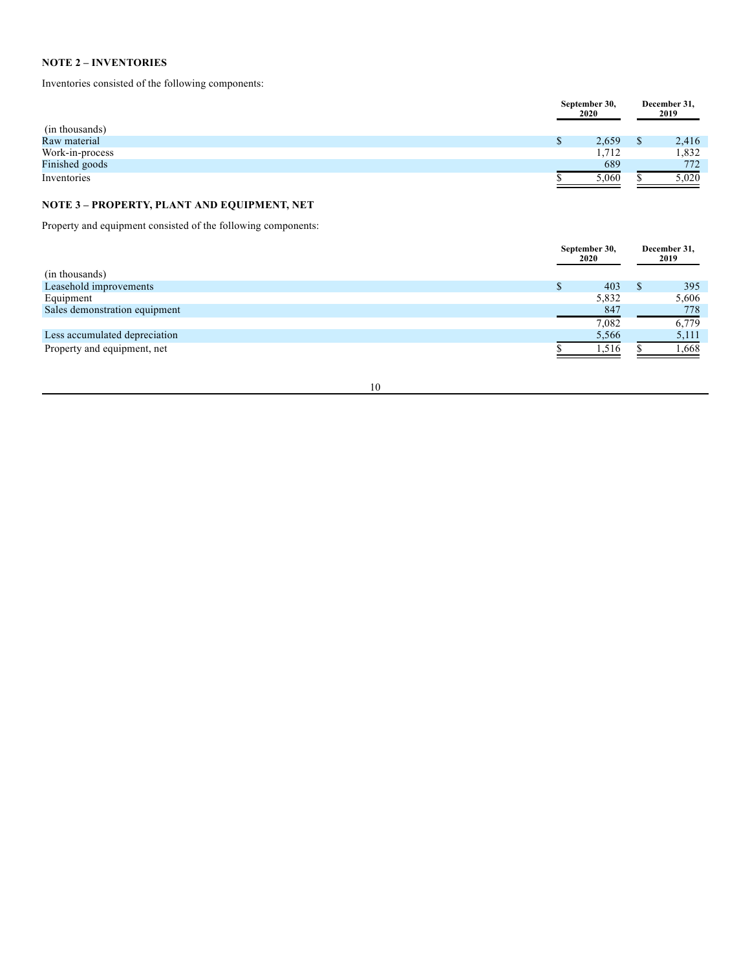# **NOTE 2 – INVENTORIES**

Inventories consisted of the following components:

|                 |   | September 30,<br>2020 | December 31,<br>2019 |  |
|-----------------|---|-----------------------|----------------------|--|
| (in thousands)  |   |                       |                      |  |
| Raw material    | ъ | 2,659                 | 2,416                |  |
| Work-in-process |   | 1,712                 | 1,832                |  |
| Finished goods  |   | 689                   | 772                  |  |
| Inventories     |   | 5,060                 | 5,020                |  |

# **NOTE 3 – PROPERTY, PLANT AND EQUIPMENT, NET**

Property and equipment consisted of the following components:

|                               | September 30,<br>2020 |       |  | December 31,<br>2019 |
|-------------------------------|-----------------------|-------|--|----------------------|
| (in thousands)                |                       |       |  |                      |
| Leasehold improvements        | S                     | 403   |  | 395                  |
| Equipment                     |                       | 5,832 |  | 5,606                |
| Sales demonstration equipment |                       | 847   |  | 778                  |
|                               |                       | 7,082 |  | 6,779                |
| Less accumulated depreciation |                       | 5,566 |  | 5,111                |
| Property and equipment, net   |                       | 1,516 |  | 1,668                |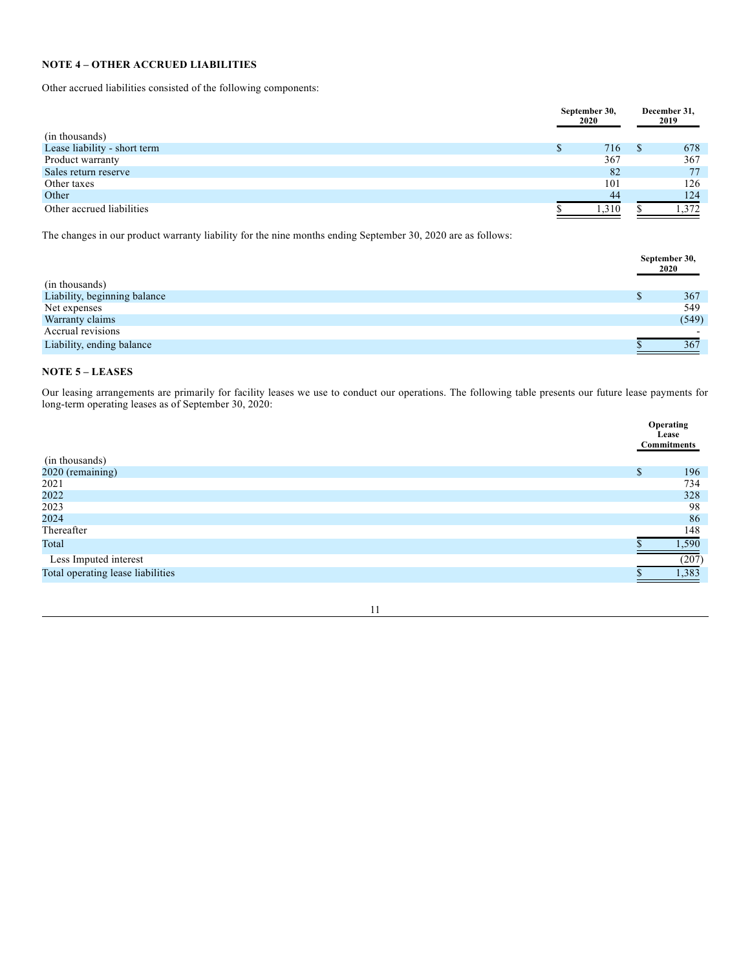## **NOTE 4 – OTHER ACCRUED LIABILITIES**

Other accrued liabilities consisted of the following components:

|                              | September 30,<br>2020 |       |               | December 31,<br>2019 |
|------------------------------|-----------------------|-------|---------------|----------------------|
| (in thousands)               |                       |       |               |                      |
| Lease liability - short term | ъ                     | 716   | $\mathcal{L}$ | 678                  |
| Product warranty             |                       | 367   |               | 367                  |
| Sales return reserve         |                       | 82    |               | 77                   |
| Other taxes                  |                       | 101   |               | 126                  |
| Other                        |                       | 44    |               | 124                  |
| Other accrued liabilities    |                       | 1,310 |               | 1.372                |

The changes in our product warranty liability for the nine months ending September 30, 2020 are as follows:

| (in thousands)               | September 30,<br>2020 |
|------------------------------|-----------------------|
| Liability, beginning balance | 367                   |
| Net expenses                 | 549                   |
| Warranty claims              | (549)                 |
| Accrual revisions            |                       |
| Liability, ending balance    | 367                   |

## **NOTE 5 – LEASES**

Our leasing arrangements are primarily for facility leases we use to conduct our operations. The following table presents our future lease payments for long-term operating leases as of September 30, 2020:

| (in thousands)                    | Operating<br>Lease<br><b>Commitments</b> |
|-----------------------------------|------------------------------------------|
| 2020 (remaining)                  | \$<br>196                                |
| 2021                              | 734                                      |
| 2022                              | 328                                      |
| 2023                              | 98                                       |
| 2024                              | 86                                       |
| Thereafter                        | 148                                      |
| Total                             | $\sqrt{,}590$                            |
| Less Imputed interest             | (207)                                    |
| Total operating lease liabilities | 1,383                                    |

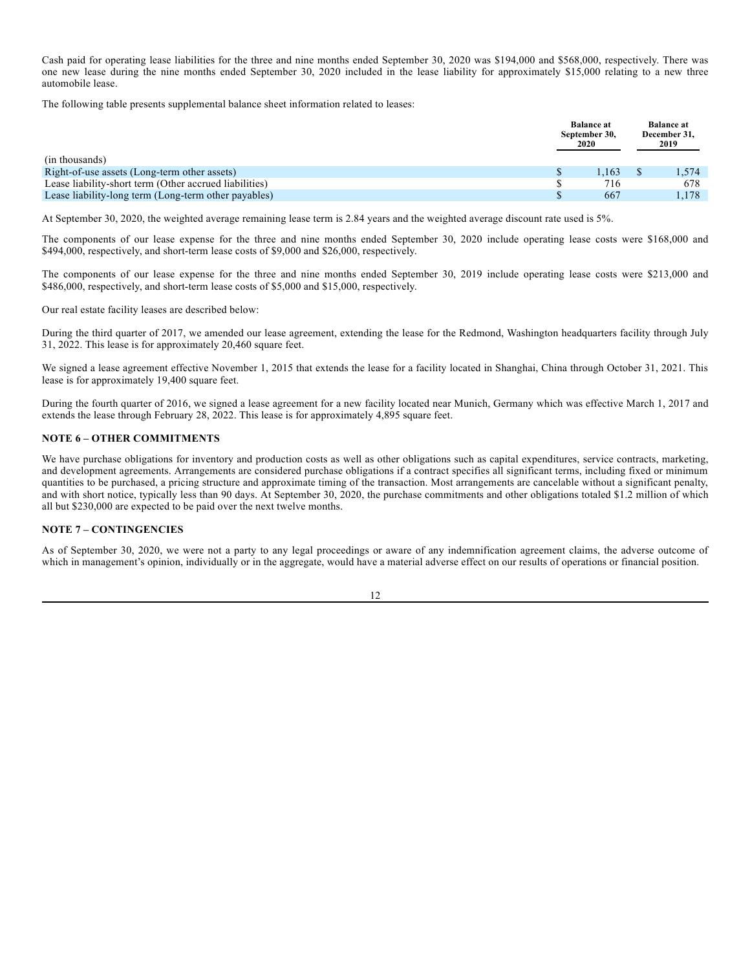Cash paid for operating lease liabilities for the three and nine months ended September 30, 2020 was \$194,000 and \$568,000, respectively. There was one new lease during the nine months ended September 30, 2020 included in the lease liability for approximately \$15,000 relating to a new three automobile lease.

The following table presents supplemental balance sheet information related to leases:

|                                                        | <b>Balance</b> at<br>September 30,<br>2020 | <b>Balance at</b><br>December 31,<br>2019 |
|--------------------------------------------------------|--------------------------------------------|-------------------------------------------|
| (in thousands)                                         |                                            |                                           |
| Right-of-use assets (Long-term other assets)           | .163                                       | 1,574                                     |
| Lease liability-short term (Other accrued liabilities) | 716                                        | 678                                       |
| Lease liability-long term (Long-term other payables)   | 667                                        | 1.178                                     |

At September 30, 2020, the weighted average remaining lease term is 2.84 years and the weighted average discount rate used is 5%.

The components of our lease expense for the three and nine months ended September 30, 2020 include operating lease costs were \$168,000 and \$494,000, respectively, and short-term lease costs of \$9,000 and \$26,000, respectively.

The components of our lease expense for the three and nine months ended September 30, 2019 include operating lease costs were \$213,000 and \$486,000, respectively, and short-term lease costs of \$5,000 and \$15,000, respectively.

Our real estate facility leases are described below:

During the third quarter of 2017, we amended our lease agreement, extending the lease for the Redmond, Washington headquarters facility through July 31, 2022. This lease is for approximately 20,460 square feet.

We signed a lease agreement effective November 1, 2015 that extends the lease for a facility located in Shanghai, China through October 31, 2021. This lease is for approximately 19,400 square feet.

During the fourth quarter of 2016, we signed a lease agreement for a new facility located near Munich, Germany which was effective March 1, 2017 and extends the lease through February 28, 2022. This lease is for approximately 4,895 square feet.

#### **NOTE 6 – OTHER COMMITMENTS**

We have purchase obligations for inventory and production costs as well as other obligations such as capital expenditures, service contracts, marketing, and development agreements. Arrangements are considered purchase obligations if a contract specifies all significant terms, including fixed or minimum quantities to be purchased, a pricing structure and approximate timing of the transaction. Most arrangements are cancelable without a significant penalty, and with short notice, typically less than 90 days. At September 30, 2020, the purchase commitments and other obligations totaled \$1.2 million of which all but \$230,000 are expected to be paid over the next twelve months.

#### **NOTE 7 – CONTINGENCIES**

As of September 30, 2020, we were not a party to any legal proceedings or aware of any indemnification agreement claims, the adverse outcome of which in management's opinion, individually or in the aggregate, would have a material adverse effect on our results of operations or financial position.

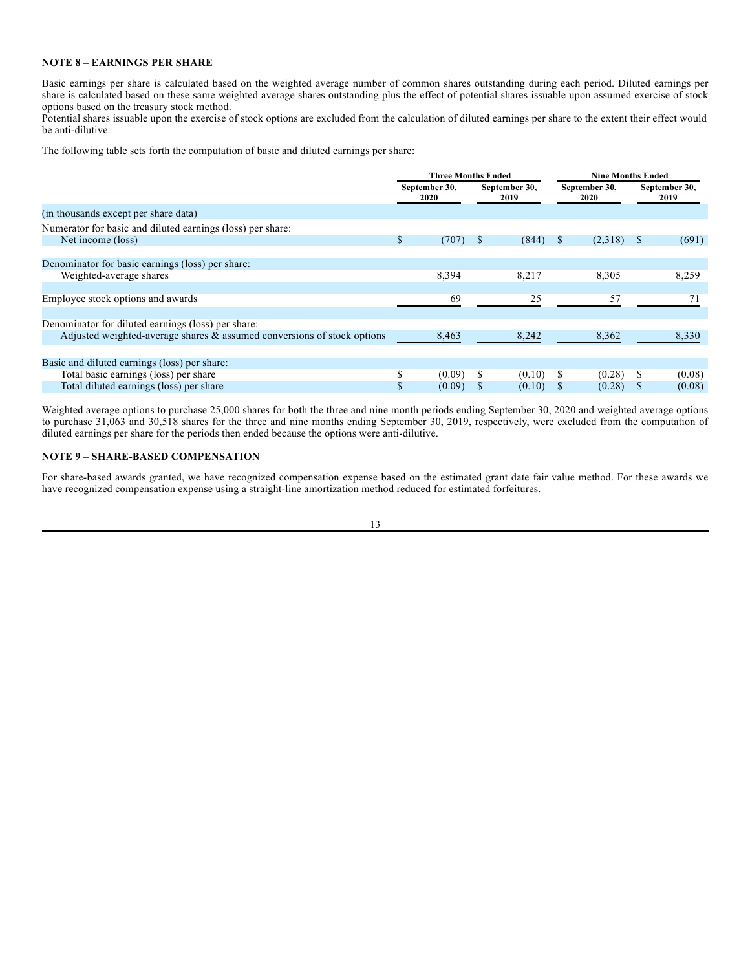## **NOTE 8 – EARNINGS PER SHARE**

Basic earnings per share is calculated based on the weighted average number of common shares outstanding during each period. Diluted earnings per share is calculated based on these same weighted average shares outstanding plus the effect of potential shares issuable upon assumed exercise of stock options based on the treasury stock method.

Potential shares issuable upon the exercise of stock options are excluded from the calculation of diluted earnings per share to the extent their effect would be anti-dilutive.

The following table sets forth the computation of basic and diluted earnings per share:

|                                                                            | <b>Three Months Ended</b> |                              |   |                       |              | <b>Nine Months Ended</b>     |      |                       |  |
|----------------------------------------------------------------------------|---------------------------|------------------------------|---|-----------------------|--------------|------------------------------|------|-----------------------|--|
|                                                                            |                           | September 30,<br><b>2020</b> |   | September 30,<br>2019 |              | September 30,<br><b>2020</b> |      | September 30,<br>2019 |  |
| (in thousands except per share data)                                       |                           |                              |   |                       |              |                              |      |                       |  |
| Numerator for basic and diluted earnings (loss) per share:                 |                           |                              |   |                       |              |                              |      |                       |  |
| Net income (loss)                                                          | \$                        | (707)                        | S | (844)                 | <sup>S</sup> | (2,318)                      | - \$ | (691)                 |  |
|                                                                            |                           |                              |   |                       |              |                              |      |                       |  |
| Denominator for basic earnings (loss) per share:                           |                           |                              |   |                       |              |                              |      |                       |  |
| Weighted-average shares                                                    |                           | 8,394                        |   | 8,217                 |              | 8,305                        |      | 8,259                 |  |
|                                                                            |                           |                              |   |                       |              |                              |      |                       |  |
| Employee stock options and awards                                          |                           | 69                           |   | 25                    |              | 57                           |      |                       |  |
|                                                                            |                           |                              |   |                       |              |                              |      |                       |  |
| Denominator for diluted earnings (loss) per share:                         |                           |                              |   |                       |              |                              |      |                       |  |
| Adjusted weighted-average shares $\&$ assumed conversions of stock options |                           | 8,463                        |   | 8,242                 |              | 8,362                        |      | 8,330                 |  |
|                                                                            |                           |                              |   |                       |              |                              |      |                       |  |
| Basic and diluted earnings (loss) per share:                               |                           |                              |   |                       |              |                              |      |                       |  |
| Total basic earnings (loss) per share                                      | D                         | (0.09)                       | S | (0.10)                | S            | (0.28)                       | S.   | (0.08)                |  |
| Total diluted earnings (loss) per share                                    | ъ                         | (0.09)                       | S | (0.10)                | S            | (0.28)                       |      | (0.08)                |  |

Weighted average options to purchase 25,000 shares for both the three and nine month periods ending September 30, 2020 and weighted average options to purchase 31,063 and 30,518 shares for the three and nine months ending September 30, 2019, respectively, were excluded from the computation of diluted earnings per share for the periods then ended because the options were anti-dilutive.

#### **NOTE 9 – SHARE-BASED COMPENSATION**

For share-based awards granted, we have recognized compensation expense based on the estimated grant date fair value method. For these awards we have recognized compensation expense using a straight-line amortization method reduced for estimated forfeitures.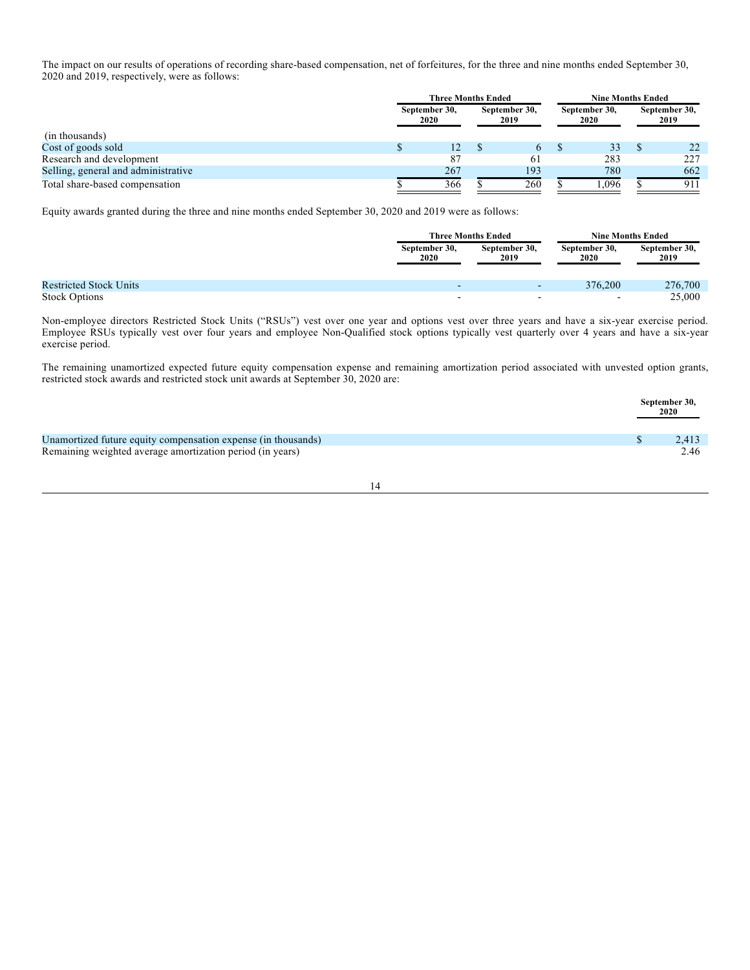The impact on our results of operations of recording share-based compensation, net of forfeitures, for the three and nine months ended September 30, 2020 and 2019, respectively, were as follows:

|                                     | <b>Three Months Ended</b> |  |                       | <b>Nine Months Ended</b> |                       |                       |     |
|-------------------------------------|---------------------------|--|-----------------------|--------------------------|-----------------------|-----------------------|-----|
|                                     | September 30,<br>2020     |  | September 30,<br>2019 |                          | September 30,<br>2020 | September 30,<br>2019 |     |
| (in thousands)                      |                           |  |                       |                          |                       |                       |     |
| Cost of goods sold                  |                           |  |                       |                          | 33                    |                       | 22  |
| Research and development            | 87                        |  | 61                    |                          | 283                   |                       | 227 |
| Selling, general and administrative | 267                       |  | 193                   |                          | 780                   |                       | 662 |
| Total share-based compensation      | 366                       |  | 260                   |                          | .096                  |                       | 911 |

Equity awards granted during the three and nine months ended September 30, 2020 and 2019 were as follows:

|                               |                          | <b>Three Months Ended</b> |                          | <b>Nine Months Ended</b> |
|-------------------------------|--------------------------|---------------------------|--------------------------|--------------------------|
|                               | September 30,<br>2020    | September 30,<br>2019     | September 30,<br>2020    | September 30,<br>2019    |
|                               |                          |                           |                          |                          |
| <b>Restricted Stock Units</b> | $\overline{\phantom{0}}$ | $\sim$                    | 376,200                  | 276,700                  |
| <b>Stock Options</b>          | -                        |                           | $\overline{\phantom{0}}$ | 25,000                   |

Non-employee directors Restricted Stock Units ("RSUs") vest over one year and options vest over three years and have a six-year exercise period. Employee RSUs typically vest over four years and employee Non-Qualified stock options typically vest quarterly over 4 years and have a six-year exercise period.

The remaining unamortized expected future equity compensation expense and remaining amortization period associated with unvested option grants, restricted stock awards and restricted stock unit awards at September 30, 2020 are:

|                                                               | September 30,<br>2020 |
|---------------------------------------------------------------|-----------------------|
| Unamortized future equity compensation expense (in thousands) | 2.413                 |
| Remaining weighted average amortization period (in years)     | 2.46                  |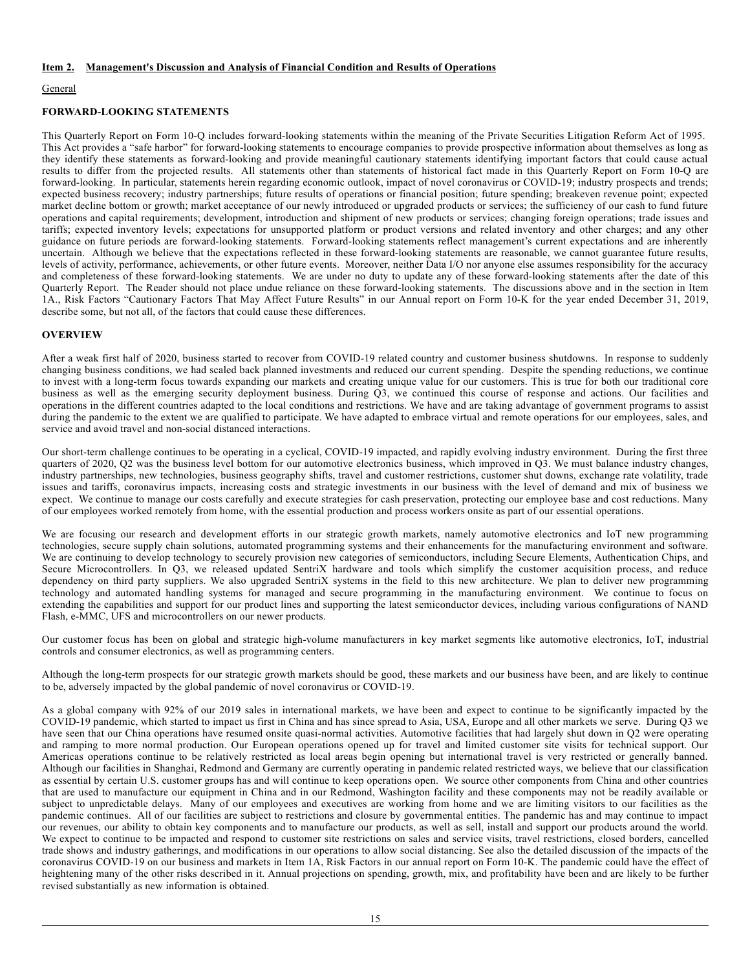#### <span id="page-14-0"></span>**Item 2. Management's Discussion and Analysis of Financial Condition and Results of Operations**

#### **General**

#### **FORWARD-LOOKING STATEMENTS**

This Quarterly Report on Form 10-Q includes forward-looking statements within the meaning of the Private Securities Litigation Reform Act of 1995. This Act provides a "safe harbor" for forward-looking statements to encourage companies to provide prospective information about themselves as long as they identify these statements as forward-looking and provide meaningful cautionary statements identifying important factors that could cause actual results to differ from the projected results. All statements other than statements of historical fact made in this Quarterly Report on Form 10-Q are forward-looking. In particular, statements herein regarding economic outlook, impact of novel coronavirus or COVID-19; industry prospects and trends; expected business recovery; industry partnerships; future results of operations or financial position; future spending; breakeven revenue point; expected market decline bottom or growth; market acceptance of our newly introduced or upgraded products or services; the sufficiency of our cash to fund future operations and capital requirements; development, introduction and shipment of new products or services; changing foreign operations; trade issues and tariffs; expected inventory levels; expectations for unsupported platform or product versions and related inventory and other charges; and any other guidance on future periods are forward-looking statements. Forward-looking statements reflect management's current expectations and are inherently uncertain. Although we believe that the expectations reflected in these forward-looking statements are reasonable, we cannot guarantee future results, levels of activity, performance, achievements, or other future events. Moreover, neither Data I/O nor anyone else assumes responsibility for the accuracy and completeness of these forward-looking statements. We are under no duty to update any of these forward-looking statements after the date of this Quarterly Report. The Reader should not place undue reliance on these forward-looking statements. The discussions above and in the section in Item 1A., Risk Factors "Cautionary Factors That May Affect Future Results" in our Annual report on Form 10-K for the year ended December 31, 2019, describe some, but not all, of the factors that could cause these differences.

#### **OVERVIEW**

After a weak first half of 2020, business started to recover from COVID-19 related country and customer business shutdowns. In response to suddenly changing business conditions, we had scaled back planned investments and reduced our current spending. Despite the spending reductions, we continue to invest with a long-term focus towards expanding our markets and creating unique value for our customers. This is true for both our traditional core business as well as the emerging security deployment business. During Q3, we continued this course of response and actions. Our facilities and operations in the different countries adapted to the local conditions and restrictions. We have and are taking advantage of government programs to assist during the pandemic to the extent we are qualified to participate. We have adapted to embrace virtual and remote operations for our employees, sales, and service and avoid travel and non-social distanced interactions.

Our short-term challenge continues to be operating in a cyclical, COVID-19 impacted, and rapidly evolving industry environment. During the first three quarters of 2020, Q2 was the business level bottom for our automotive electronics business, which improved in Q3. We must balance industry changes, industry partnerships, new technologies, business geography shifts, travel and customer restrictions, customer shut downs, exchange rate volatility, trade issues and tariffs, coronavirus impacts, increasing costs and strategic investments in our business with the level of demand and mix of business we expect. We continue to manage our costs carefully and execute strategies for cash preservation, protecting our employee base and cost reductions. Many of our employees worked remotely from home, with the essential production and process workers onsite as part of our essential operations.

We are focusing our research and development efforts in our strategic growth markets, namely automotive electronics and IoT new programming technologies, secure supply chain solutions, automated programming systems and their enhancements for the manufacturing environment and software. We are continuing to develop technology to securely provision new categories of semiconductors, including Secure Elements, Authentication Chips, and Secure Microcontrollers. In Q3, we released updated SentriX hardware and tools which simplify the customer acquisition process, and reduce dependency on third party suppliers. We also upgraded SentriX systems in the field to this new architecture. We plan to deliver new programming technology and automated handling systems for managed and secure programming in the manufacturing environment. We continue to focus on extending the capabilities and support for our product lines and supporting the latest semiconductor devices, including various configurations of NAND Flash, e-MMC, UFS and microcontrollers on our newer products.

Our customer focus has been on global and strategic high-volume manufacturers in key market segments like automotive electronics, IoT, industrial controls and consumer electronics, as well as programming centers.

Although the long-term prospects for our strategic growth markets should be good, these markets and our business have been, and are likely to continue to be, adversely impacted by the global pandemic of novel coronavirus or COVID-19.

As a global company with 92% of our 2019 sales in international markets, we have been and expect to continue to be significantly impacted by the COVID-19 pandemic, which started to impact us first in China and has since spread to Asia, USA, Europe and all other markets we serve. During Q3 we have seen that our China operations have resumed onsite quasi-normal activities. Automotive facilities that had largely shut down in Q2 were operating and ramping to more normal production. Our European operations opened up for travel and limited customer site visits for technical support. Our Americas operations continue to be relatively restricted as local areas begin opening but international travel is very restricted or generally banned. Although our facilities in Shanghai, Redmond and Germany are currently operating in pandemic related restricted ways, we believe that our classification as essential by certain U.S. customer groups has and will continue to keep operations open. We source other components from China and other countries that are used to manufacture our equipment in China and in our Redmond, Washington facility and these components may not be readily available or subject to unpredictable delays. Many of our employees and executives are working from home and we are limiting visitors to our facilities as the pandemic continues. All of our facilities are subject to restrictions and closure by governmental entities. The pandemic has and may continue to impact our revenues, our ability to obtain key components and to manufacture our products, as well as sell, install and support our products around the world. We expect to continue to be impacted and respond to customer site restrictions on sales and service visits, travel restrictions, closed borders, cancelled trade shows and industry gatherings, and modifications in our operations to allow social distancing. See also the detailed discussion of the impacts of the coronavirus COVID-19 on our business and markets in Item 1A, Risk Factors in our annual report on Form 10-K. The pandemic could have the effect of heightening many of the other risks described in it. Annual projections on spending, growth, mix, and profitability have been and are likely to be further revised substantially as new information is obtained.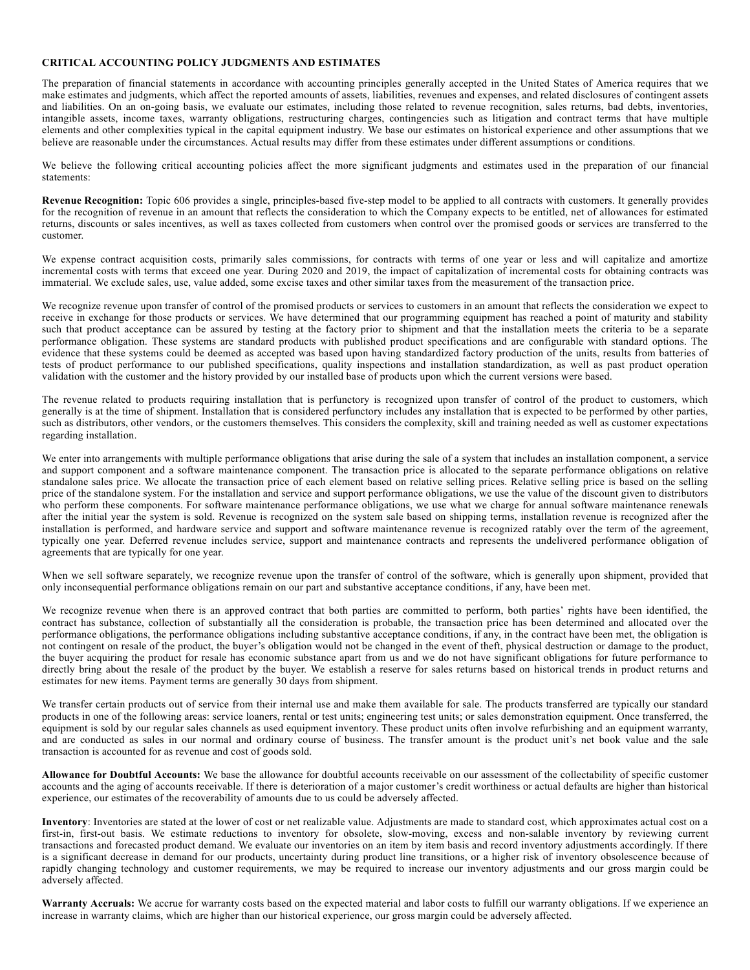#### **CRITICAL ACCOUNTING POLICY JUDGMENTS AND ESTIMATES**

The preparation of financial statements in accordance with accounting principles generally accepted in the United States of America requires that we make estimates and judgments, which affect the reported amounts of assets, liabilities, revenues and expenses, and related disclosures of contingent assets and liabilities. On an on-going basis, we evaluate our estimates, including those related to revenue recognition, sales returns, bad debts, inventories, intangible assets, income taxes, warranty obligations, restructuring charges, contingencies such as litigation and contract terms that have multiple elements and other complexities typical in the capital equipment industry. We base our estimates on historical experience and other assumptions that we believe are reasonable under the circumstances. Actual results may differ from these estimates under different assumptions or conditions.

We believe the following critical accounting policies affect the more significant judgments and estimates used in the preparation of our financial statements:

**Revenue Recognition:** Topic 606 provides a single, principles-based five-step model to be applied to all contracts with customers. It generally provides for the recognition of revenue in an amount that reflects the consideration to which the Company expects to be entitled, net of allowances for estimated returns, discounts or sales incentives, as well as taxes collected from customers when control over the promised goods or services are transferred to the customer.

We expense contract acquisition costs, primarily sales commissions, for contracts with terms of one year or less and will capitalize and amortize incremental costs with terms that exceed one year. During 2020 and 2019, the impact of capitalization of incremental costs for obtaining contracts was immaterial. We exclude sales, use, value added, some excise taxes and other similar taxes from the measurement of the transaction price.

We recognize revenue upon transfer of control of the promised products or services to customers in an amount that reflects the consideration we expect to receive in exchange for those products or services. We have determined that our programming equipment has reached a point of maturity and stability such that product acceptance can be assured by testing at the factory prior to shipment and that the installation meets the criteria to be a separate performance obligation. These systems are standard products with published product specifications and are configurable with standard options. The evidence that these systems could be deemed as accepted was based upon having standardized factory production of the units, results from batteries of tests of product performance to our published specifications, quality inspections and installation standardization, as well as past product operation validation with the customer and the history provided by our installed base of products upon which the current versions were based.

The revenue related to products requiring installation that is perfunctory is recognized upon transfer of control of the product to customers, which generally is at the time of shipment. Installation that is considered perfunctory includes any installation that is expected to be performed by other parties, such as distributors, other vendors, or the customers themselves. This considers the complexity, skill and training needed as well as customer expectations regarding installation.

We enter into arrangements with multiple performance obligations that arise during the sale of a system that includes an installation component, a service and support component and a software maintenance component. The transaction price is allocated to the separate performance obligations on relative standalone sales price. We allocate the transaction price of each element based on relative selling prices. Relative selling price is based on the selling price of the standalone system. For the installation and service and support performance obligations, we use the value of the discount given to distributors who perform these components. For software maintenance performance obligations, we use what we charge for annual software maintenance renewals after the initial year the system is sold. Revenue is recognized on the system sale based on shipping terms, installation revenue is recognized after the installation is performed, and hardware service and support and software maintenance revenue is recognized ratably over the term of the agreement, typically one year. Deferred revenue includes service, support and maintenance contracts and represents the undelivered performance obligation of agreements that are typically for one year.

When we sell software separately, we recognize revenue upon the transfer of control of the software, which is generally upon shipment, provided that only inconsequential performance obligations remain on our part and substantive acceptance conditions, if any, have been met.

We recognize revenue when there is an approved contract that both parties are committed to perform, both parties' rights have been identified, the contract has substance, collection of substantially all the consideration is probable, the transaction price has been determined and allocated over the performance obligations, the performance obligations including substantive acceptance conditions, if any, in the contract have been met, the obligation is not contingent on resale of the product, the buyer's obligation would not be changed in the event of theft, physical destruction or damage to the product, the buyer acquiring the product for resale has economic substance apart from us and we do not have significant obligations for future performance to directly bring about the resale of the product by the buyer. We establish a reserve for sales returns based on historical trends in product returns and estimates for new items. Payment terms are generally 30 days from shipment.

We transfer certain products out of service from their internal use and make them available for sale. The products transferred are typically our standard products in one of the following areas: service loaners, rental or test units; engineering test units; or sales demonstration equipment. Once transferred, the equipment is sold by our regular sales channels as used equipment inventory. These product units often involve refurbishing and an equipment warranty, and are conducted as sales in our normal and ordinary course of business. The transfer amount is the product unit's net book value and the sale transaction is accounted for as revenue and cost of goods sold.

**Allowance for Doubtful Accounts:** We base the allowance for doubtful accounts receivable on our assessment of the collectability of specific customer accounts and the aging of accounts receivable. If there is deterioration of a major customer's credit worthiness or actual defaults are higher than historical experience, our estimates of the recoverability of amounts due to us could be adversely affected.

**Inventory**: Inventories are stated at the lower of cost or net realizable value. Adjustments are made to standard cost, which approximates actual cost on a first-in, first-out basis. We estimate reductions to inventory for obsolete, slow-moving, excess and non-salable inventory by reviewing current transactions and forecasted product demand. We evaluate our inventories on an item by item basis and record inventory adjustments accordingly. If there is a significant decrease in demand for our products, uncertainty during product line transitions, or a higher risk of inventory obsolescence because of rapidly changing technology and customer requirements, we may be required to increase our inventory adjustments and our gross margin could be adversely affected.

**Warranty Accruals:** We accrue for warranty costs based on the expected material and labor costs to fulfill our warranty obligations. If we experience an increase in warranty claims, which are higher than our historical experience, our gross margin could be adversely affected.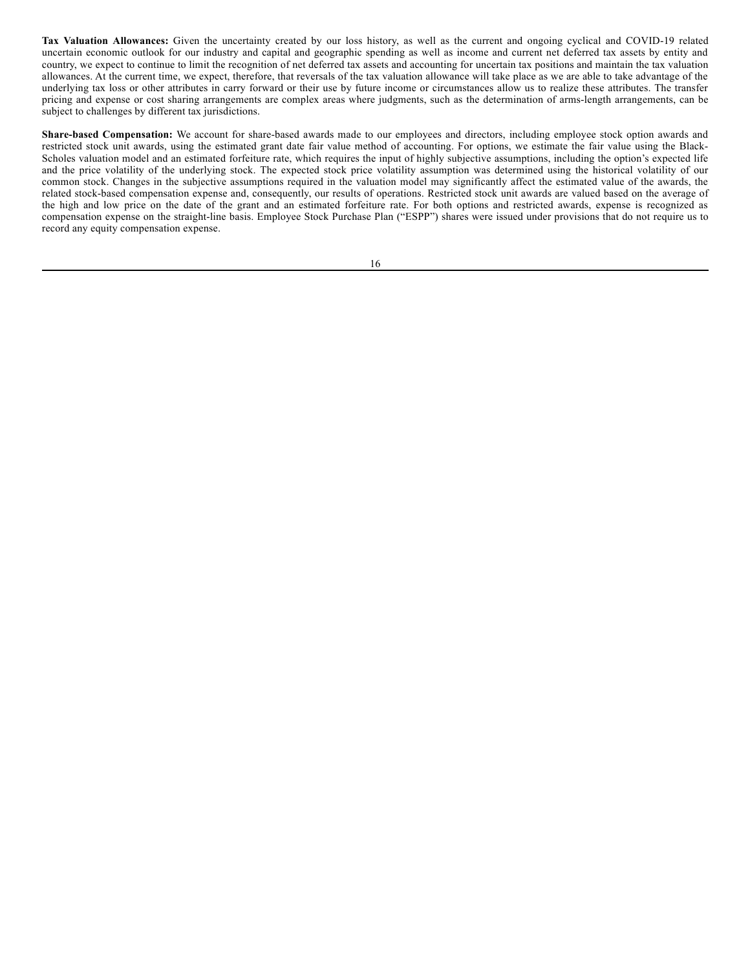**Tax Valuation Allowances:** Given the uncertainty created by our loss history, as well as the current and ongoing cyclical and COVID-19 related uncertain economic outlook for our industry and capital and geographic spending as well as income and current net deferred tax assets by entity and country, we expect to continue to limit the recognition of net deferred tax assets and accounting for uncertain tax positions and maintain the tax valuation allowances. At the current time, we expect, therefore, that reversals of the tax valuation allowance will take place as we are able to take advantage of the underlying tax loss or other attributes in carry forward or their use by future income or circumstances allow us to realize these attributes. The transfer pricing and expense or cost sharing arrangements are complex areas where judgments, such as the determination of arms-length arrangements, can be subject to challenges by different tax jurisdictions.

**Share-based Compensation:** We account for share-based awards made to our employees and directors, including employee stock option awards and restricted stock unit awards, using the estimated grant date fair value method of accounting. For options, we estimate the fair value using the Black-Scholes valuation model and an estimated forfeiture rate, which requires the input of highly subjective assumptions, including the option's expected life and the price volatility of the underlying stock. The expected stock price volatility assumption was determined using the historical volatility of our common stock. Changes in the subjective assumptions required in the valuation model may significantly affect the estimated value of the awards, the related stock-based compensation expense and, consequently, our results of operations. Restricted stock unit awards are valued based on the average of the high and low price on the date of the grant and an estimated forfeiture rate. For both options and restricted awards, expense is recognized as compensation expense on the straight-line basis. Employee Stock Purchase Plan ("ESPP") shares were issued under provisions that do not require us to record any equity compensation expense.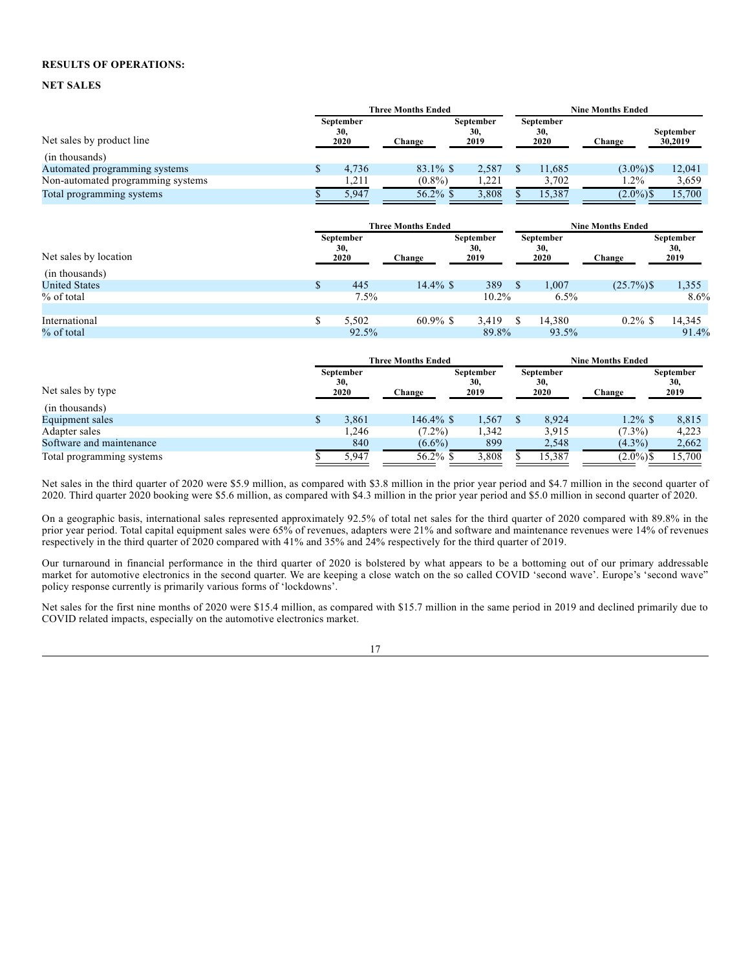#### **RESULTS OF OPERATIONS:**

#### **NET SALES**

|                                   | <b>Three Months Ended</b> |                          |             |                          |  | <b>Nine Months Ended</b> |              |                      |  |  |  |
|-----------------------------------|---------------------------|--------------------------|-------------|--------------------------|--|--------------------------|--------------|----------------------|--|--|--|
| Net sales by product line         |                           | September<br>30,<br>2020 | Change      | September<br>30.<br>2019 |  | September<br>30.<br>2020 | hange.       | September<br>30,2019 |  |  |  |
| (in thousands)                    |                           |                          |             |                          |  |                          |              |                      |  |  |  |
| Automated programming systems     |                           | 4.736                    | $83.1\%$ \$ | 2.587                    |  | 11,685                   | $(3.0\%)$ \$ | 12,041               |  |  |  |
| Non-automated programming systems |                           | 211.ا                    | $(0.8\%)$   | 1,221                    |  | 3,702                    | $1.2\%$      | 3,659                |  |  |  |
| Total programming systems         |                           | 5,947                    | $56.2\%$ \$ | 3,808                    |  | 15.387                   | $(2.0\%)\$   | 15,700               |  |  |  |

|                       |                          | <b>Three Months Ended</b> | <b>Nine Months Ended</b> |  |                          |               |                          |
|-----------------------|--------------------------|---------------------------|--------------------------|--|--------------------------|---------------|--------------------------|
| Net sales by location | September<br>30,<br>2020 | Change                    | September<br>30,<br>2019 |  | September<br>30,<br>2020 | Change        | September<br>30,<br>2019 |
| (in thousands)        |                          |                           |                          |  |                          |               |                          |
| <b>United States</b>  | 445                      | $14.4\%$ \$               | 389                      |  | 1,007                    | $(25.7\%)$ \$ | 1,355                    |
| % of total            | 7.5%                     |                           | $10.2\%$                 |  | $6.5\%$                  |               | $8.6\%$                  |
| International         | 5,502                    | $60.9\%$ \$               | 3,419                    |  | 14,380                   | $0.2\%$ \$    | 14,345                   |
| % of total            | 92.5%                    |                           | 89.8%                    |  | 93.5%                    |               | 91.4%                    |

|                           |                          | <b>Three Months Ended</b> | <b>Nine Months Ended</b> |                          |              |                          |  |
|---------------------------|--------------------------|---------------------------|--------------------------|--------------------------|--------------|--------------------------|--|
| Net sales by type         | September<br>30,<br>2020 | Change                    | September<br>30,<br>2019 | September<br>30,<br>2020 | <b>hange</b> | September<br>30,<br>2019 |  |
| (in thousands)            |                          |                           |                          |                          |              |                          |  |
| Equipment sales           | 3,861                    | 146.4% \$                 | 1,567                    | 8,924                    | $1.2\%$ \$   | 8,815                    |  |
| Adapter sales             | .246                     | $(7.2\%)$                 | 1,342                    | 3.915                    | $(7.3\%)$    | 4,223                    |  |
| Software and maintenance  | 840                      | $(6.6\%)$                 | 899                      | 2,548                    | $(4.3\%)$    | 2,662                    |  |
| Total programming systems | 5.947                    | 56.2% \$                  | 3,808                    | 15,387                   | $(2.0\%)\$   | 15,700                   |  |

Net sales in the third quarter of 2020 were \$5.9 million, as compared with \$3.8 million in the prior year period and \$4.7 million in the second quarter of 2020. Third quarter 2020 booking were \$5.6 million, as compared with \$4.3 million in the prior year period and \$5.0 million in second quarter of 2020.

On a geographic basis, international sales represented approximately 92.5% of total net sales for the third quarter of 2020 compared with 89.8% in the prior year period. Total capital equipment sales were 65% of revenues, adapters were 21% and software and maintenance revenues were 14% of revenues respectively in the third quarter of 2020 compared with 41% and 35% and 24% respectively for the third quarter of 2019.

Our turnaround in financial performance in the third quarter of 2020 is bolstered by what appears to be a bottoming out of our primary addressable market for automotive electronics in the second quarter. We are keeping a close watch on the so called COVID 'second wave'. Europe's 'second wave'' policy response currently is primarily various forms of 'lockdowns'.

Net sales for the first nine months of 2020 were \$15.4 million, as compared with \$15.7 million in the same period in 2019 and declined primarily due to COVID related impacts, especially on the automotive electronics market.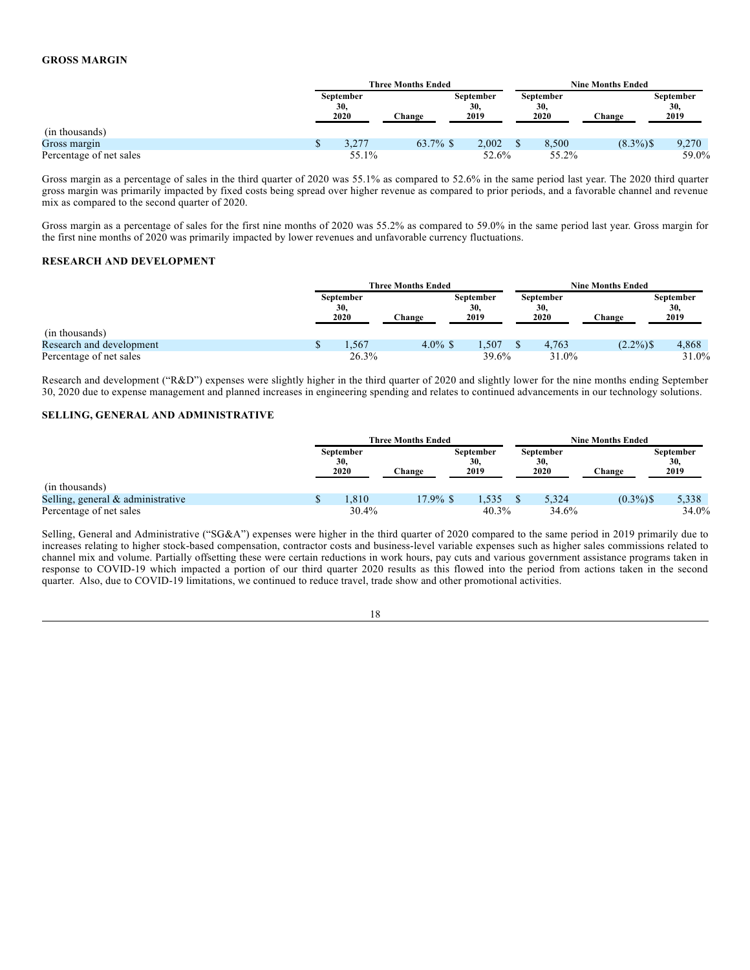## **GROSS MARGIN**

|                         |                          |       | Three Months Ended |                          | <b>Nine Months Ended</b> |                          |              |                          |  |
|-------------------------|--------------------------|-------|--------------------|--------------------------|--------------------------|--------------------------|--------------|--------------------------|--|
|                         | September<br>30,<br>2020 |       | Change             | September<br>30,<br>2019 |                          | September<br>30,<br>2020 | Change       | September<br>30.<br>2019 |  |
| (in thousands)          |                          |       |                    |                          |                          |                          |              |                          |  |
| Gross margin            |                          | 3,277 | $63.7\%$ \$        | 2,002                    |                          | 8,500                    | $(8.3\%)$ \$ | 9,270                    |  |
| Percentage of net sales |                          | 55.1% |                    | 52.6%                    |                          | 55.2%                    |              | 59.0%                    |  |

Gross margin as a percentage of sales in the third quarter of 2020 was 55.1% as compared to 52.6% in the same period last year. The 2020 third quarter gross margin was primarily impacted by fixed costs being spread over higher revenue as compared to prior periods, and a favorable channel and revenue mix as compared to the second quarter of 2020.

Gross margin as a percentage of sales for the first nine months of 2020 was 55.2% as compared to 59.0% in the same period last year. Gross margin for the first nine months of 2020 was primarily impacted by lower revenues and unfavorable currency fluctuations.

#### **RESEARCH AND DEVELOPMENT**

|                          |                          | <b>Three Months Ended</b> |                          |  |                          | <b>Nine Months Ended</b> |                          |  |
|--------------------------|--------------------------|---------------------------|--------------------------|--|--------------------------|--------------------------|--------------------------|--|
|                          | September<br>30,<br>2020 | Change                    | September<br>30,<br>2019 |  | September<br>30,<br>2020 | <b>Change</b>            | September<br>30,<br>2019 |  |
| (in thousands)           |                          |                           |                          |  |                          |                          |                          |  |
| Research and development | .567                     | $4.0\%$ \$                | .507                     |  | 4.763                    | $(2.2\%)\$               | 4,868                    |  |
| Percentage of net sales  | 26.3%                    |                           | 39.6%                    |  | 31.0%                    |                          | 31.0%                    |  |

Research and development ("R&D") expenses were slightly higher in the third quarter of 2020 and slightly lower for the nine months ending September 30, 2020 due to expense management and planned increases in engineering spending and relates to continued advancements in our technology solutions.

#### **SELLING, GENERAL AND ADMINISTRATIVE**

|                                      |                                    | <b>Three Months Ended</b> |                          | <b>Nine Months Ended</b> |                          |              |                          |  |
|--------------------------------------|------------------------------------|---------------------------|--------------------------|--------------------------|--------------------------|--------------|--------------------------|--|
|                                      | September<br>30,<br>2020<br>Change |                           | September<br>30,<br>2019 |                          | September<br>30,<br>2020 | ™hange       | September<br>30,<br>2019 |  |
| (in thousands)                       |                                    |                           |                          |                          |                          |              |                          |  |
| Selling, general $\&$ administrative | .810                               | 17.9% \$                  | .535                     |                          | 5,324                    | $(0.3\%)$ \$ | 5,338                    |  |
| Percentage of net sales              | 30.4%                              |                           | 40.3%                    |                          | 34.6%                    |              | 34.0%                    |  |

Selling, General and Administrative ("SG&A") expenses were higher in the third quarter of 2020 compared to the same period in 2019 primarily due to increases relating to higher stock-based compensation, contractor costs and business-level variable expenses such as higher sales commissions related to channel mix and volume. Partially offsetting these were certain reductions in work hours, pay cuts and various government assistance programs taken in response to COVID-19 which impacted a portion of our third quarter 2020 results as this flowed into the period from actions taken in the second quarter. Also, due to COVID-19 limitations, we continued to reduce travel, trade show and other promotional activities.

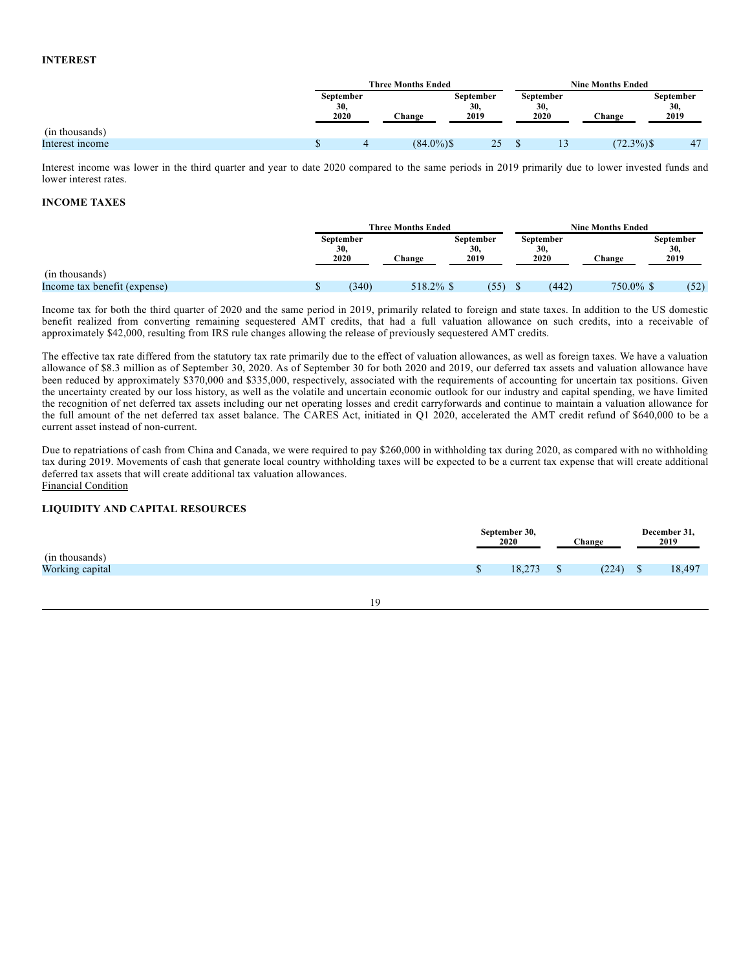## **INTEREST**

|                 | <b>Three Months Ended</b> |               |                          |  | <b>Nine Months Ended</b> |             |                          |  |  |
|-----------------|---------------------------|---------------|--------------------------|--|--------------------------|-------------|--------------------------|--|--|
|                 | September<br>30,<br>2020  | Change        | September<br>30,<br>2019 |  | September<br>30,<br>2020 | Change      | September<br>30,<br>2019 |  |  |
| (in thousands)  |                           |               |                          |  |                          |             |                          |  |  |
| Interest income |                           | $(84.0\%)$ \$ | ں ت                      |  |                          | $(72.3\%)\$ | 47                       |  |  |

Interest income was lower in the third quarter and year to date 2020 compared to the same periods in 2019 primarily due to lower invested funds and lower interest rates.

## **INCOME TAXES**

|                              |                          | <b>Three Months Ended</b>          |      | <b>Nine Months Ended</b> |           |                          |  |  |
|------------------------------|--------------------------|------------------------------------|------|--------------------------|-----------|--------------------------|--|--|
|                              | September<br>30,<br>2020 | September<br>30,<br>2019<br>Change |      | September<br>30,<br>2020 | Change    | September<br>30,<br>2019 |  |  |
| (in thousands)               |                          |                                    |      |                          |           |                          |  |  |
| Income tax benefit (expense) | (340)                    | 518.2% \$                          | (55) | (442)                    | 750.0% \$ | (52)                     |  |  |

Income tax for both the third quarter of 2020 and the same period in 2019, primarily related to foreign and state taxes. In addition to the US domestic benefit realized from converting remaining sequestered AMT credits, that had a full valuation allowance on such credits, into a receivable of approximately \$42,000, resulting from IRS rule changes allowing the release of previously sequestered AMT credits.

The effective tax rate differed from the statutory tax rate primarily due to the effect of valuation allowances, as well as foreign taxes. We have a valuation allowance of \$8.3 million as of September 30, 2020. As of September 30 for both 2020 and 2019, our deferred tax assets and valuation allowance have been reduced by approximately \$370,000 and \$335,000, respectively, associated with the requirements of accounting for uncertain tax positions. Given the uncertainty created by our loss history, as well as the volatile and uncertain economic outlook for our industry and capital spending, we have limited the recognition of net deferred tax assets including our net operating losses and credit carryforwards and continue to maintain a valuation allowance for the full amount of the net deferred tax asset balance. The CARES Act, initiated in Q1 2020, accelerated the AMT credit refund of \$640,000 to be a current asset instead of non-current.

Due to repatriations of cash from China and Canada, we were required to pay \$260,000 in withholding tax during 2020, as compared with no withholding tax during 2019. Movements of cash that generate local country withholding taxes will be expected to be a current tax expense that will create additional deferred tax assets that will create additional tax valuation allowances. Financial Condition

## **LIQUIDITY AND CAPITAL RESOURCES**

| (in thousands)  |    | September 30,<br>2020 | Change      | December 31,<br>2019 |
|-----------------|----|-----------------------|-------------|----------------------|
| Working capital |    | 18,273                | \$<br>(224) | 18,497               |
|                 | 19 |                       |             |                      |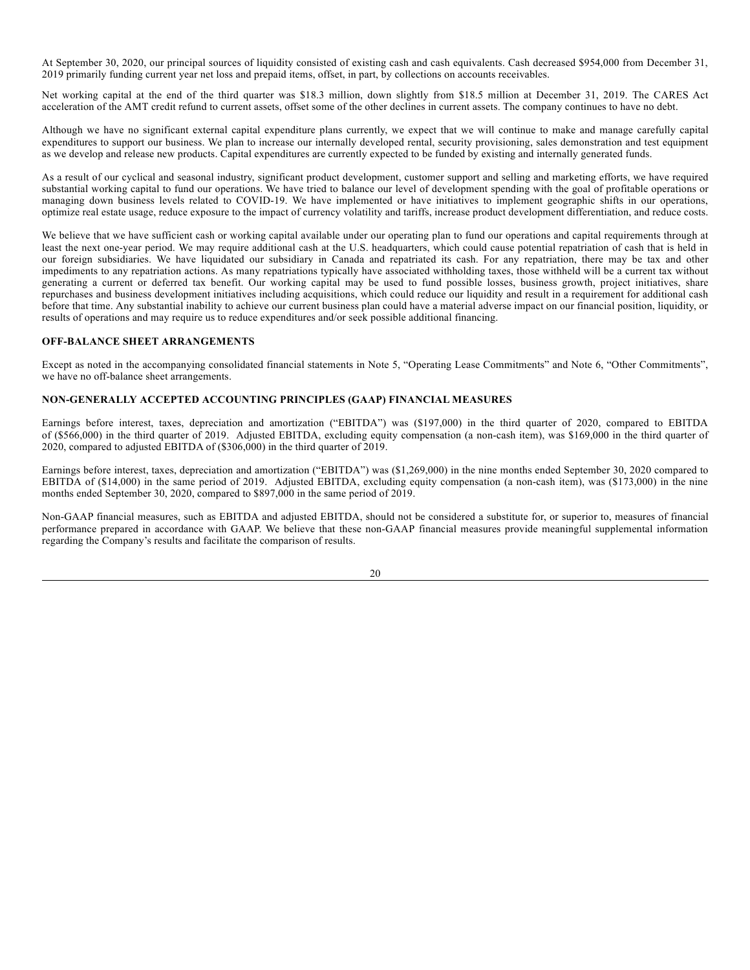At September 30, 2020, our principal sources of liquidity consisted of existing cash and cash equivalents. Cash decreased \$954,000 from December 31, 2019 primarily funding current year net loss and prepaid items, offset, in part, by collections on accounts receivables.

Net working capital at the end of the third quarter was \$18.3 million, down slightly from \$18.5 million at December 31, 2019. The CARES Act acceleration of the AMT credit refund to current assets, offset some of the other declines in current assets. The company continues to have no debt.

Although we have no significant external capital expenditure plans currently, we expect that we will continue to make and manage carefully capital expenditures to support our business. We plan to increase our internally developed rental, security provisioning, sales demonstration and test equipment as we develop and release new products. Capital expenditures are currently expected to be funded by existing and internally generated funds.

As a result of our cyclical and seasonal industry, significant product development, customer support and selling and marketing efforts, we have required substantial working capital to fund our operations. We have tried to balance our level of development spending with the goal of profitable operations or managing down business levels related to COVID-19. We have implemented or have initiatives to implement geographic shifts in our operations, optimize real estate usage, reduce exposure to the impact of currency volatility and tariffs, increase product development differentiation, and reduce costs.

We believe that we have sufficient cash or working capital available under our operating plan to fund our operations and capital requirements through at least the next one-year period. We may require additional cash at the U.S. headquarters, which could cause potential repatriation of cash that is held in our foreign subsidiaries. We have liquidated our subsidiary in Canada and repatriated its cash. For any repatriation, there may be tax and other impediments to any repatriation actions. As many repatriations typically have associated withholding taxes, those withheld will be a current tax without generating a current or deferred tax benefit. Our working capital may be used to fund possible losses, business growth, project initiatives, share repurchases and business development initiatives including acquisitions, which could reduce our liquidity and result in a requirement for additional cash before that time. Any substantial inability to achieve our current business plan could have a material adverse impact on our financial position, liquidity, or results of operations and may require us to reduce expenditures and/or seek possible additional financing.

#### **OFF-BALANCE SHEET ARRANGEMENTS**

Except as noted in the accompanying consolidated financial statements in Note 5, "Operating Lease Commitments" and Note 6, "Other Commitments", we have no off-balance sheet arrangements.

#### **NON-GENERALLY ACCEPTED ACCOUNTING PRINCIPLES (GAAP) FINANCIAL MEASURES**

Earnings before interest, taxes, depreciation and amortization ("EBITDA") was (\$197,000) in the third quarter of 2020, compared to EBITDA of (\$566,000) in the third quarter of 2019. Adjusted EBITDA, excluding equity compensation (a non-cash item), was \$169,000 in the third quarter of 2020, compared to adjusted EBITDA of (\$306,000) in the third quarter of 2019.

Earnings before interest, taxes, depreciation and amortization ("EBITDA") was (\$1,269,000) in the nine months ended September 30, 2020 compared to EBITDA of (\$14,000) in the same period of 2019. Adjusted EBITDA, excluding equity compensation (a non-cash item), was (\$173,000) in the nine months ended September 30, 2020, compared to \$897,000 in the same period of 2019.

Non-GAAP financial measures, such as EBITDA and adjusted EBITDA, should not be considered a substitute for, or superior to, measures of financial performance prepared in accordance with GAAP. We believe that these non-GAAP financial measures provide meaningful supplemental information regarding the Company's results and facilitate the comparison of results.

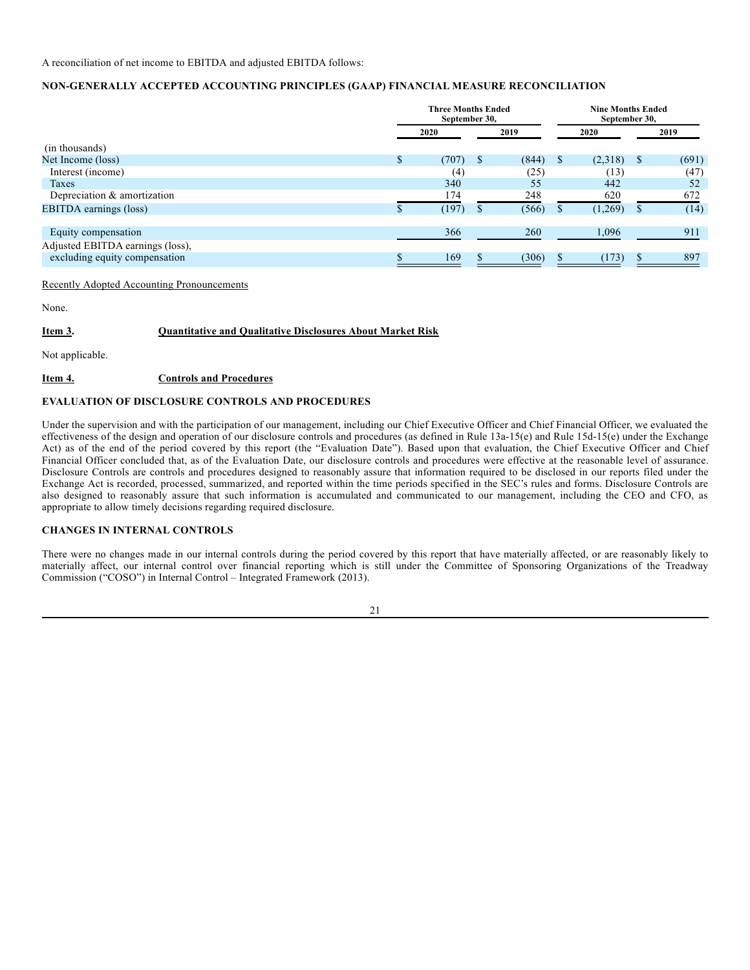#### **NON-GENERALLY ACCEPTED ACCOUNTING PRINCIPLES (GAAP) FINANCIAL MEASURE RECONCILIATION**

|                                  |    | <b>Three Months Ended</b><br>September 30, |              |       |               | <b>Nine Months Ended</b><br>September 30, |     |       |  |
|----------------------------------|----|--------------------------------------------|--------------|-------|---------------|-------------------------------------------|-----|-------|--|
|                                  |    | 2020                                       |              | 2019  |               | 2020                                      |     | 2019  |  |
| (in thousands)                   |    |                                            |              |       |               |                                           |     |       |  |
| Net Income (loss)                | \$ | (707)                                      | <sup>S</sup> | (844) | <sup>\$</sup> | (2,318)                                   | S   | (691) |  |
| Interest (income)                |    | (4)                                        |              | (25)  |               | (13)                                      |     | (47)  |  |
| Taxes                            |    | 340                                        |              | 55    |               | 442                                       |     | 52    |  |
| Depreciation & amortization      |    | 174                                        |              | 248   |               | 620                                       |     | 672   |  |
| EBITDA earnings (loss)           | S  | (197)                                      |              | (566) |               | (1,269)                                   | D.  | (14)  |  |
| Equity compensation              |    | 366                                        |              | 260   |               | 1,096                                     |     | 911   |  |
| Adjusted EBITDA earnings (loss), |    |                                            |              |       |               |                                           |     |       |  |
| excluding equity compensation    | Φ  | 169                                        |              | (306) |               | (173)                                     | \$. | 897   |  |

#### Recently Adopted Accounting Pronouncements

None.

#### <span id="page-21-0"></span>**Item 3. Quantitative and Qualitative Disclosures About Market Risk**

Not applicable.

## **Item 4. Controls and Procedures**

## **EVALUATION OF DISCLOSURE CONTROLS AND PROCEDURES**

Under the supervision and with the participation of our management, including our Chief Executive Officer and Chief Financial Officer, we evaluated the effectiveness of the design and operation of our disclosure controls and procedures (as defined in Rule 13a-15(e) and Rule 15d-15(e) under the Exchange Act) as of the end of the period covered by this report (the "Evaluation Date"). Based upon that evaluation, the Chief Executive Officer and Chief Financial Officer concluded that, as of the Evaluation Date, our disclosure controls and procedures were effective at the reasonable level of assurance. Disclosure Controls are controls and procedures designed to reasonably assure that information required to be disclosed in our reports filed under the Exchange Act is recorded, processed, summarized, and reported within the time periods specified in the SEC's rules and forms. Disclosure Controls are also designed to reasonably assure that such information is accumulated and communicated to our management, including the CEO and CFO, as appropriate to allow timely decisions regarding required disclosure.

#### **CHANGES IN INTERNAL CONTROLS**

There were no changes made in our internal controls during the period covered by this report that have materially affected, or are reasonably likely to materially affect, our internal control over financial reporting which is still under the Committee of Sponsoring Organizations of the Treadway Commission ("COSO") in Internal Control – Integrated Framework (2013).

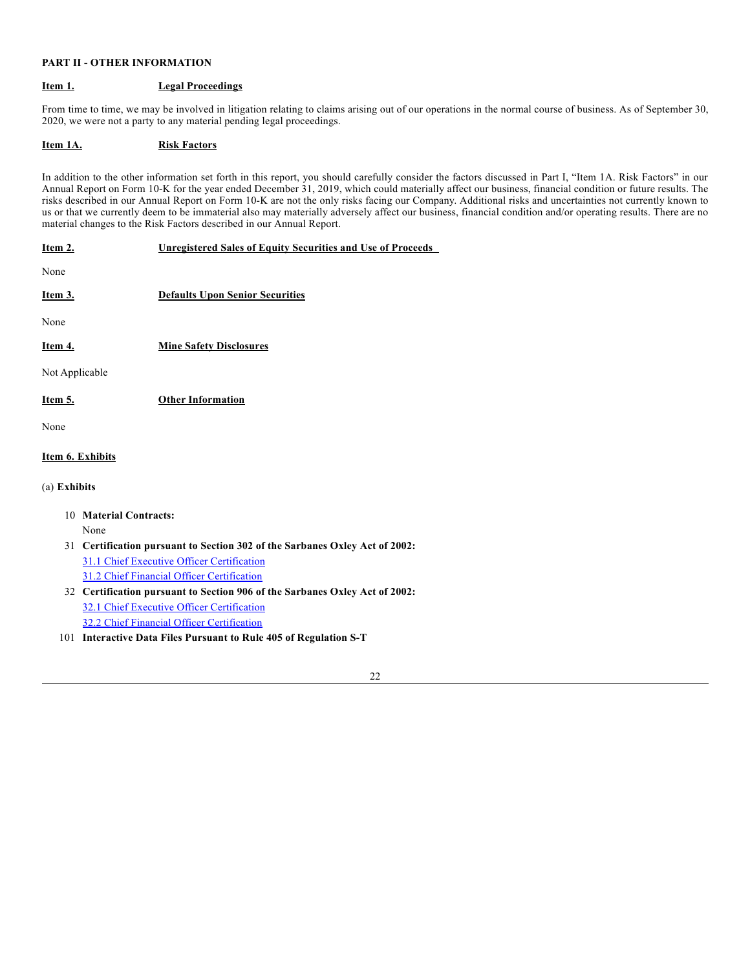## **PART II - OTHER INFORMATION**

#### <span id="page-22-0"></span>**Item 1. Legal Proceedings**

From time to time, we may be involved in litigation relating to claims arising out of our operations in the normal course of business. As of September 30, 2020, we were not a party to any material pending legal proceedings.

#### **Item 1A. Risk Factors**

In addition to the other information set forth in this report, you should carefully consider the factors discussed in Part I, "Item 1A. Risk Factors" in our Annual Report on Form 10-K for the year ended December 31, 2019, which could materially affect our business, financial condition or future results. The risks described in our Annual Report on Form 10-K are not the only risks facing our Company. Additional risks and uncertainties not currently known to us or that we currently deem to be immaterial also may materially adversely affect our business, financial condition and/or operating results. There are no material changes to the Risk Factors described in our Annual Report.

| Item 2.                | <b>Unregistered Sales of Equity Securities and Use of Proceeds</b>          |  |  |  |  |
|------------------------|-----------------------------------------------------------------------------|--|--|--|--|
| None                   |                                                                             |  |  |  |  |
| <u>Item 3.</u>         | <b>Defaults Upon Senior Securities</b>                                      |  |  |  |  |
| None                   |                                                                             |  |  |  |  |
| <u>Item 4.</u>         | <b>Mine Safety Disclosures</b>                                              |  |  |  |  |
| Not Applicable         |                                                                             |  |  |  |  |
| Item 5.                | <b>Other Information</b>                                                    |  |  |  |  |
| None                   |                                                                             |  |  |  |  |
| Item 6. Exhibits       |                                                                             |  |  |  |  |
| (a) Exhibits           |                                                                             |  |  |  |  |
| 10 Material Contracts: |                                                                             |  |  |  |  |
| None                   |                                                                             |  |  |  |  |
|                        | 31 Certification pursuant to Section 302 of the Sarbanes Oxley Act of 2002: |  |  |  |  |
|                        | 31.1 Chief Executive Officer Certification                                  |  |  |  |  |
|                        | 31.2 Chief Financial Officer Certification                                  |  |  |  |  |
|                        | 32 Certification pursuant to Section 906 of the Sarbanes Oxley Act of 2002: |  |  |  |  |
|                        | 32.1 Chief Executive Officer Certification                                  |  |  |  |  |
|                        | 32.2 Chief Financial Officer Certification                                  |  |  |  |  |
|                        | 101 Interactive Data Files Pursuant to Rule 405 of Regulation S-T           |  |  |  |  |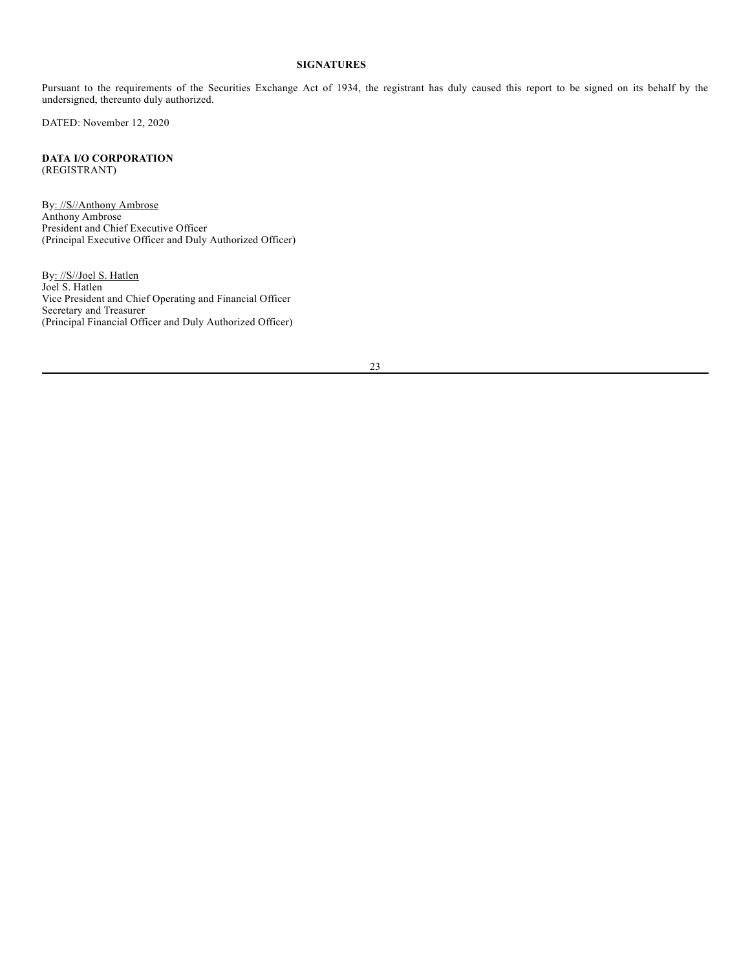#### <span id="page-23-0"></span>**SIGNATURES**

Pursuant to the requirements of the Securities Exchange Act of 1934, the registrant has duly caused this report to be signed on its behalf by the undersigned, thereunto duly authorized.

DATED: November 12, 2020

# **DATA I/O CORPORATION**

(REGISTRANT)

By: //S//Anthony Ambrose Anthony Ambrose President and Chief Executive Officer (Principal Executive Officer and Duly Authorized Officer)

By: //S//Joel S. Hatlen Joel S. Hatlen Vice President and Chief Operating and Financial Officer Secretary and Treasurer (Principal Financial Officer and Duly Authorized Officer)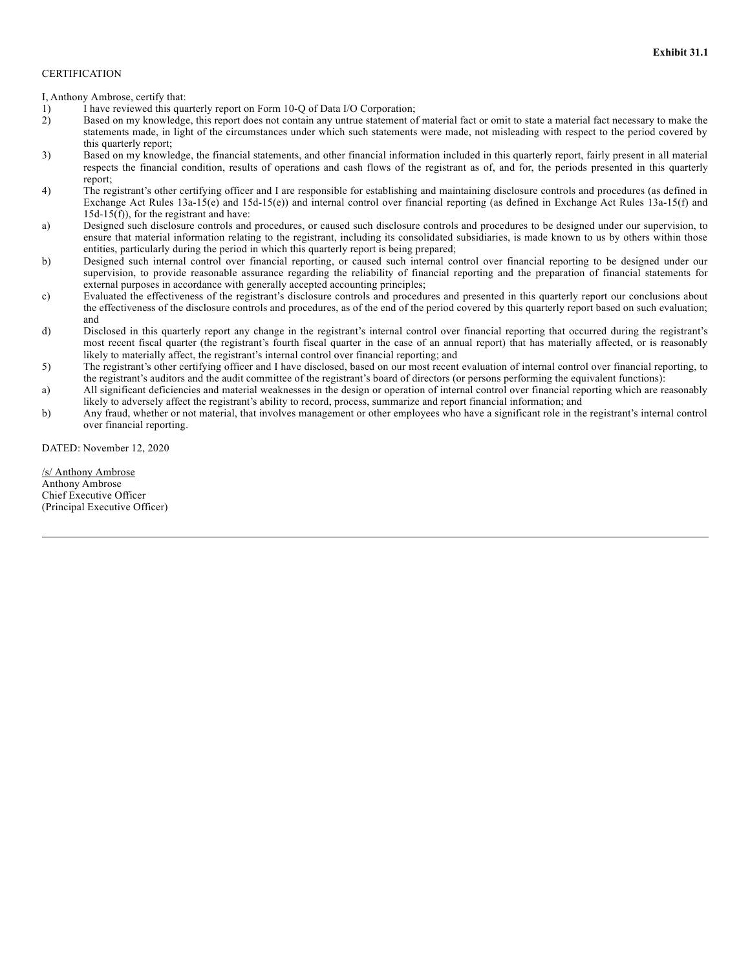#### **CERTIFICATION**

I, Anthony Ambrose, certify that:

- 1) I have reviewed this quarterly report on Form 10-Q of Data I/O Corporation;<br>2) Based on my knowledge, this report does not contain any untrue statement of
- 2) Based on my knowledge, this report does not contain any untrue statement of material fact or omit to state a material fact necessary to make the statements made, in light of the circumstances under which such statements were made, not misleading with respect to the period covered by this quarterly report;
- 3) Based on my knowledge, the financial statements, and other financial information included in this quarterly report, fairly present in all material respects the financial condition, results of operations and cash flows of the registrant as of, and for, the periods presented in this quarterly report;
- 4) The registrant's other certifying officer and I are responsible for establishing and maintaining disclosure controls and procedures (as defined in Exchange Act Rules 13a-15(e) and 15d-15(e)) and internal control over financial reporting (as defined in Exchange Act Rules 13a-15(f) and  $15d-15(f)$ , for the registrant and have:
- a) Designed such disclosure controls and procedures, or caused such disclosure controls and procedures to be designed under our supervision, to ensure that material information relating to the registrant, including its consolidated subsidiaries, is made known to us by others within those entities, particularly during the period in which this quarterly report is being prepared;
- b) Designed such internal control over financial reporting, or caused such internal control over financial reporting to be designed under our supervision, to provide reasonable assurance regarding the reliability of financial reporting and the preparation of financial statements for external purposes in accordance with generally accepted accounting principles;
- c) Evaluated the effectiveness of the registrant's disclosure controls and procedures and presented in this quarterly report our conclusions about the effectiveness of the disclosure controls and procedures, as of the end of the period covered by this quarterly report based on such evaluation; and
- d) Disclosed in this quarterly report any change in the registrant's internal control over financial reporting that occurred during the registrant's most recent fiscal quarter (the registrant's fourth fiscal quarter in the case of an annual report) that has materially affected, or is reasonably likely to materially affect, the registrant's internal control over financial reporting; and
- 5) The registrant's other certifying officer and I have disclosed, based on our most recent evaluation of internal control over financial reporting, to the registrant's auditors and the audit committee of the registrant's board of directors (or persons performing the equivalent functions):
- a) All significant deficiencies and material weaknesses in the design or operation of internal control over financial reporting which are reasonably likely to adversely affect the registrant's ability to record, process, summarize and report financial information; and
- b) Any fraud, whether or not material, that involves management or other employees who have a significant role in the registrant's internal control over financial reporting.

DATED: November 12, 2020

/s/ Anthony Ambrose Anthony Ambrose Chief Executive Officer (Principal Executive Officer)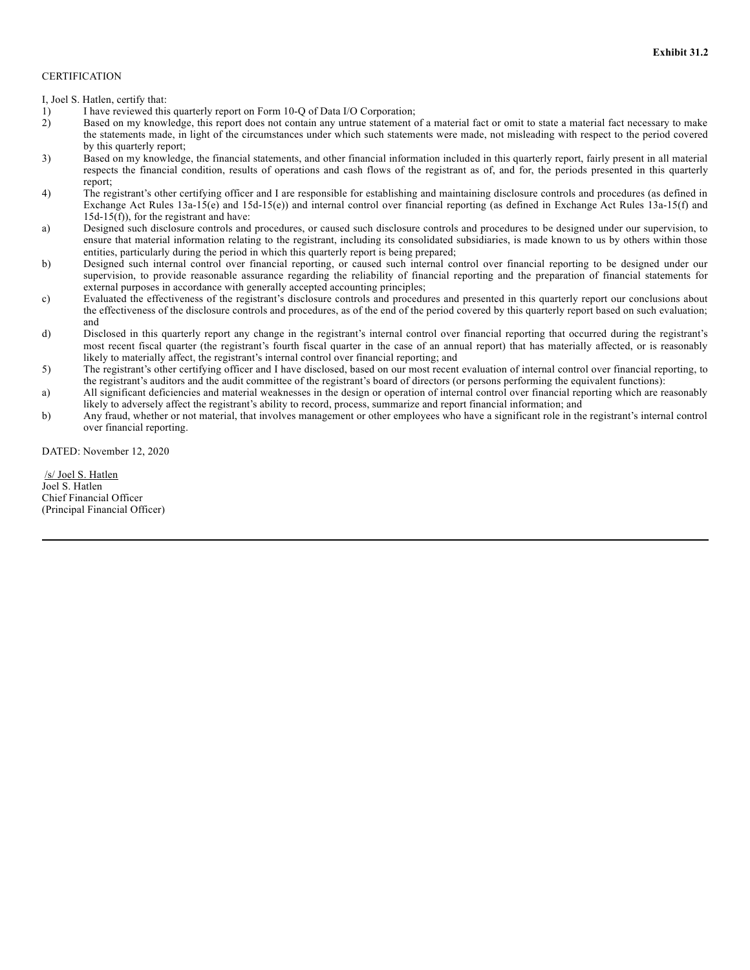#### **CERTIFICATION**

I, Joel S. Hatlen, certify that:

- 1) I have reviewed this quarterly report on Form 10-Q of Data I/O Corporation;
- 2) Based on my knowledge, this report does not contain any untrue statement of a material fact or omit to state a material fact necessary to make the statements made, in light of the circumstances under which such statements were made, not misleading with respect to the period covered by this quarterly report;
- 3) Based on my knowledge, the financial statements, and other financial information included in this quarterly report, fairly present in all material respects the financial condition, results of operations and cash flows of the registrant as of, and for, the periods presented in this quarterly report;
- 4) The registrant's other certifying officer and I are responsible for establishing and maintaining disclosure controls and procedures (as defined in Exchange Act Rules 13a-15(e) and 15d-15(e)) and internal control over financial reporting (as defined in Exchange Act Rules 13a-15(f) and 15d-15(f)), for the registrant and have:
- a) Designed such disclosure controls and procedures, or caused such disclosure controls and procedures to be designed under our supervision, to ensure that material information relating to the registrant, including its consolidated subsidiaries, is made known to us by others within those entities, particularly during the period in which this quarterly report is being prepared;
- b) Designed such internal control over financial reporting, or caused such internal control over financial reporting to be designed under our supervision, to provide reasonable assurance regarding the reliability of financial reporting and the preparation of financial statements for external purposes in accordance with generally accepted accounting principles;
- c) Evaluated the effectiveness of the registrant's disclosure controls and procedures and presented in this quarterly report our conclusions about the effectiveness of the disclosure controls and procedures, as of the end of the period covered by this quarterly report based on such evaluation; and
- d) Disclosed in this quarterly report any change in the registrant's internal control over financial reporting that occurred during the registrant's most recent fiscal quarter (the registrant's fourth fiscal quarter in the case of an annual report) that has materially affected, or is reasonably likely to materially affect, the registrant's internal control over financial reporting; and
- 5) The registrant's other certifying officer and I have disclosed, based on our most recent evaluation of internal control over financial reporting, to the registrant's auditors and the audit committee of the registrant's board of directors (or persons performing the equivalent functions):
- a) All significant deficiencies and material weaknesses in the design or operation of internal control over financial reporting which are reasonably likely to adversely affect the registrant's ability to record, process, summarize and report financial information; and
- b) Any fraud, whether or not material, that involves management or other employees who have a significant role in the registrant's internal control over financial reporting.

DATED: November 12, 2020

/s/ Joel S. Hatlen Joel S. Hatlen Chief Financial Officer (Principal Financial Officer)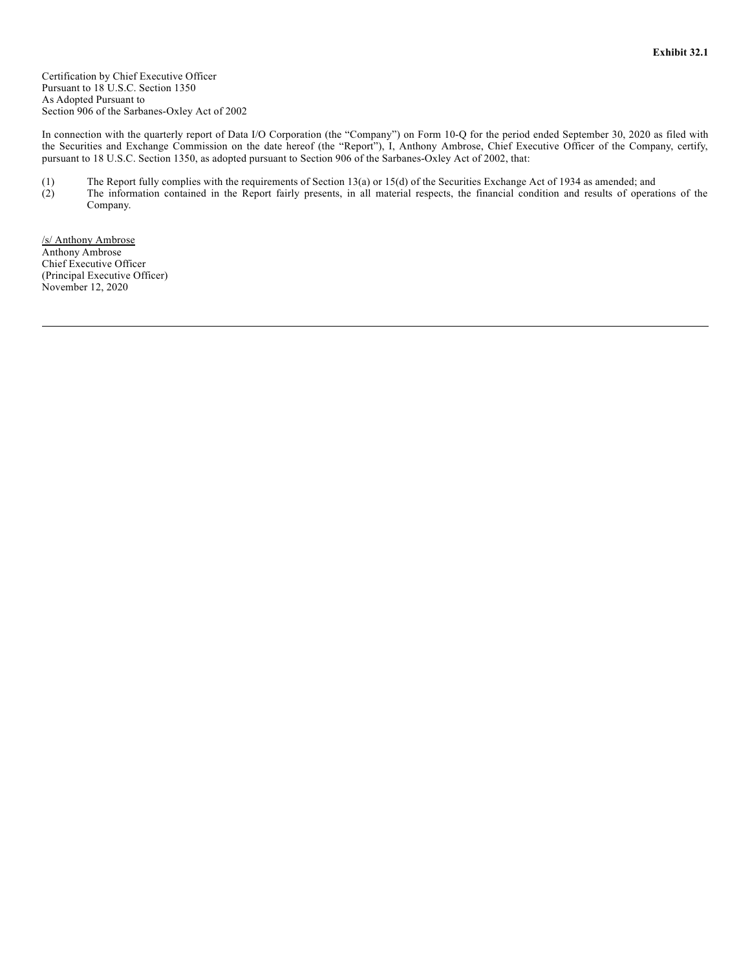Certification by Chief Executive Officer Pursuant to 18 U.S.C. Section 1350 As Adopted Pursuant to Section 906 of the Sarbanes-Oxley Act of 2002

In connection with the quarterly report of Data I/O Corporation (the "Company") on Form 10-Q for the period ended September 30, 2020 as filed with the Securities and Exchange Commission on the date hereof (the "Report"), I, Anthony Ambrose, Chief Executive Officer of the Company, certify, pursuant to 18 U.S.C. Section 1350, as adopted pursuant to Section 906 of the Sarbanes-Oxley Act of 2002, that:

(1) The Report fully complies with the requirements of Section 13(a) or 15(d) of the Securities Exchange Act of 1934 as amended; and (2) The information contained in the Report fairly presents, in all material respects, th The information contained in the Report fairly presents, in all material respects, the financial condition and results of operations of the Company.

/s/ Anthony Ambrose Anthony Ambrose Chief Executive Officer (Principal Executive Officer) November 12, 2020